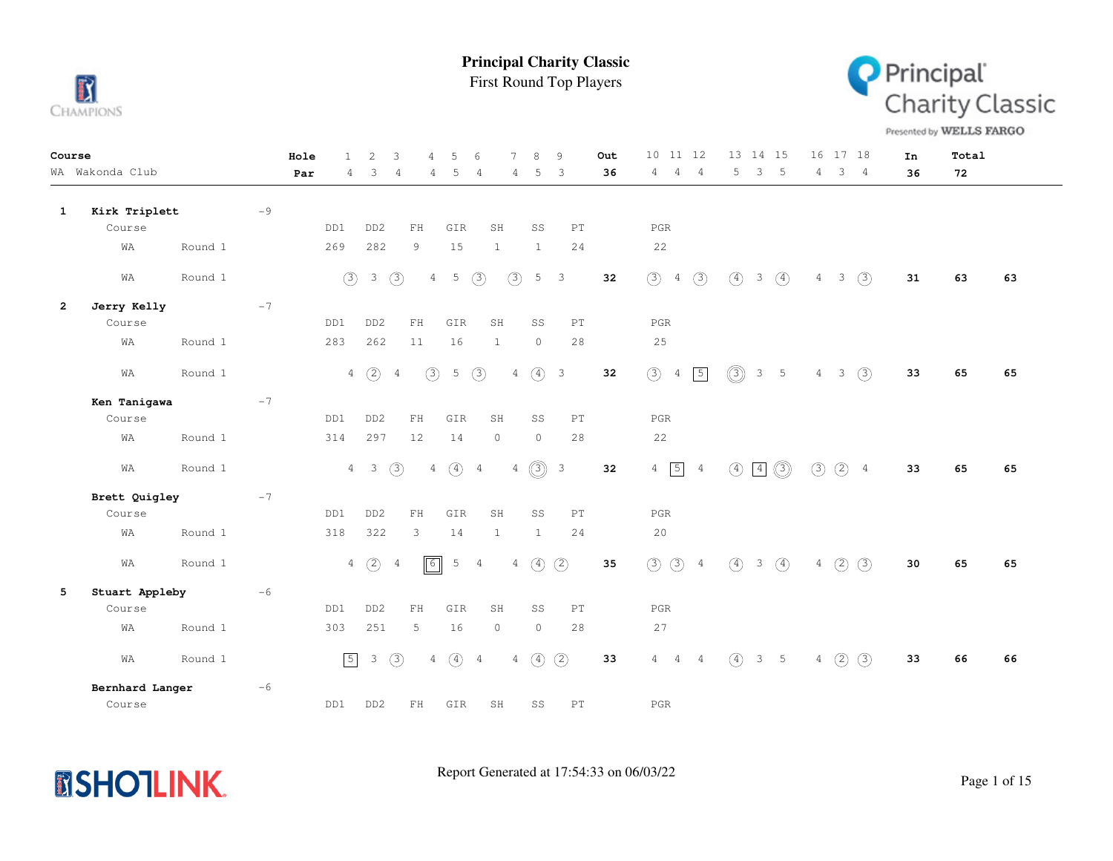

First Round Top Players



Presented by WELLS FARGO

| Course       | WA Wakonda Club |         |      | Hole | 1           | 2               | 3              |             | 5               | 6              |                | 8              | 9                          | Out<br>36 | 10 11 12<br>4                   | 4             | 5              | 13 14 15<br>3 | $5^{\circ}$    |                | 16 17 18<br>$\mathcal{S}$ | $\frac{4}{3}$ | In | Total |    |
|--------------|-----------------|---------|------|------|-------------|-----------------|----------------|-------------|-----------------|----------------|----------------|----------------|----------------------------|-----------|---------------------------------|---------------|----------------|---------------|----------------|----------------|---------------------------|---------------|----|-------|----|
|              |                 |         |      | Par  | 4           | 3               | $\overline{4}$ | 4           | 5               | 4              | 4              | 5              | 3                          |           | 4                               |               |                |               |                | 4              |                           |               | 36 | 72    |    |
| 1            | Kirk Triplett   |         | $-9$ |      |             |                 |                |             |                 |                |                |                |                            |           |                                 |               |                |               |                |                |                           |               |    |       |    |
|              | Course          |         |      |      | DD1         | DD <sub>2</sub> | ${\rm FH}$     |             | GIR             | SH             |                | SS             | PT                         |           | PGR                             |               |                |               |                |                |                           |               |    |       |    |
|              | WA              | Round 1 |      |      | 269         | 282             | 9              |             | 15              | $\mathbf{1}$   |                | $\mathbf{1}$   | 24                         |           | 22                              |               |                |               |                |                |                           |               |    |       |    |
|              | WA              | Round 1 |      |      | (3)         | $\mathcal{E}$   | (3)            | 4           | 5               | (3)            | (3)            | 5 <sup>5</sup> | 3                          | 32        | (3)<br>$\overline{4}$           | (3)           | (4)            | $\mathcal{E}$ | $\circled{4}$  |                | $4 \quad 3$               | (3)           | 31 | 63    | 63 |
| $\mathbf{2}$ | Jerry Kelly     |         | $-7$ |      |             |                 |                |             |                 |                |                |                |                            |           |                                 |               |                |               |                |                |                           |               |    |       |    |
|              | Course          |         |      |      | DD1         | DD <sub>2</sub> | FH             |             | GIR             | SH             |                | SS             | PT                         |           | PGR                             |               |                |               |                |                |                           |               |    |       |    |
|              | WA              | Round 1 |      |      | 283         | 262             | $11\,$         |             | 16              | 1              |                | $\circledcirc$ | 28                         |           | 25                              |               |                |               |                |                |                           |               |    |       |    |
|              | WA              | Round 1 |      |      |             | $4\quad)$       | $\overline{4}$ | (3)         | $5\phantom{.0}$ | (3)            | $\overline{4}$ | $\circled{4}$  | $\overline{\phantom{a}}$   | 32        | (3)<br>$\frac{4}{3}$            | $\boxed{5}$   | $\circledcirc$ |               | 3 <sub>5</sub> | $\overline{4}$ | $\overline{\phantom{a}}$  | (3)           | 33 | 65    | 65 |
|              | Ken Tanigawa    |         | $-7$ |      |             |                 |                |             |                 |                |                |                |                            |           |                                 |               |                |               |                |                |                           |               |    |       |    |
|              | Course          |         |      |      | DD1         | DD <sub>2</sub> | ${\rm FH}$     |             | GIR             | SH             |                | SS             | $\mathop{\rm PT}\nolimits$ |           | $_{\rm PGR}$                    |               |                |               |                |                |                           |               |    |       |    |
|              | WA              | Round 1 |      |      | 314         | 297             | 12             |             | 14              | $\circ$        |                | $\circ$        | 28                         |           | 22                              |               |                |               |                |                |                           |               |    |       |    |
|              | WA              | Round 1 |      |      |             | $4\quad 3$      | $\circled{3}$  | 4           | $\circled{4}$   | $\overline{4}$ | $\overline{4}$ | $\circledS$    | $\mathbf{3}$               | 32        | $\boxed{5}$<br>$\overline{4}$   | $\frac{4}{3}$ | $\circled{4}$  | $\boxed{4}$   | $\circledcirc$ | $\circled{3}$  | $(2)$ 4                   |               | 33 | 65    | 65 |
|              | Brett Quigley   |         | $-7$ |      |             |                 |                |             |                 |                |                |                |                            |           |                                 |               |                |               |                |                |                           |               |    |       |    |
|              | Course          |         |      |      | DD1         | DD <sub>2</sub> | ${\rm FH}$     |             | GIR             | SH             |                | SS             | PT                         |           | PGR                             |               |                |               |                |                |                           |               |    |       |    |
|              | WΑ              | Round 1 |      |      | 318         | 322             | 3              |             | 14              | 1              |                | $\mathbf{1}$   | 24                         |           | 20                              |               |                |               |                |                |                           |               |    |       |    |
|              | WA              | Round 1 |      |      |             | $4\quad)$       | 4              | $\boxed{6}$ | 5               | 4              | $\overline{4}$ | $\circled{4}$  | $\circled{2}$              | 35        | $(3)$ $(3)$ 4                   |               | $\circled{4}$  | $\mathcal{S}$ | $\circled{4}$  | 4              | $\circled{2}$             | (3)           | 30 | 65    | 65 |
| 5            | Stuart Appleby  |         | $-6$ |      |             |                 |                |             |                 |                |                |                |                            |           |                                 |               |                |               |                |                |                           |               |    |       |    |
|              | Course          |         |      |      | DD1         | DD <sub>2</sub> | FH             |             | GIR             | SH             |                | SS             | PT                         |           | PGR                             |               |                |               |                |                |                           |               |    |       |    |
|              | WA              | Round 1 |      |      | 303         | 251             | 5              |             | 16              | $\circ$        |                | $\circ$        | 28                         |           | 27                              |               |                |               |                |                |                           |               |    |       |    |
|              | WA              | Round 1 |      |      | $\boxed{5}$ | $\mathcal{S}$   | $\circled{3}$  | 4           | $\circled{4}$   | $\overline{4}$ | $\overline{4}$ | $\circled{4}$  | (2)                        | 33        | $\overline{4}$<br>$\frac{4}{3}$ | 4             | $\circled{4}$  |               | 3 <sub>5</sub> | $\overline{4}$ | (2)                       | (3)           | 33 | 66    | 66 |
|              | Bernhard Langer |         | $-6$ |      |             |                 |                |             |                 |                |                |                |                            |           |                                 |               |                |               |                |                |                           |               |    |       |    |
|              | Course          |         |      |      | DD1         | DD <sub>2</sub> |                | FH          | GIR             | SH             |                | SS             | PT                         |           | PGR                             |               |                |               |                |                |                           |               |    |       |    |

**MSHOTLINK.**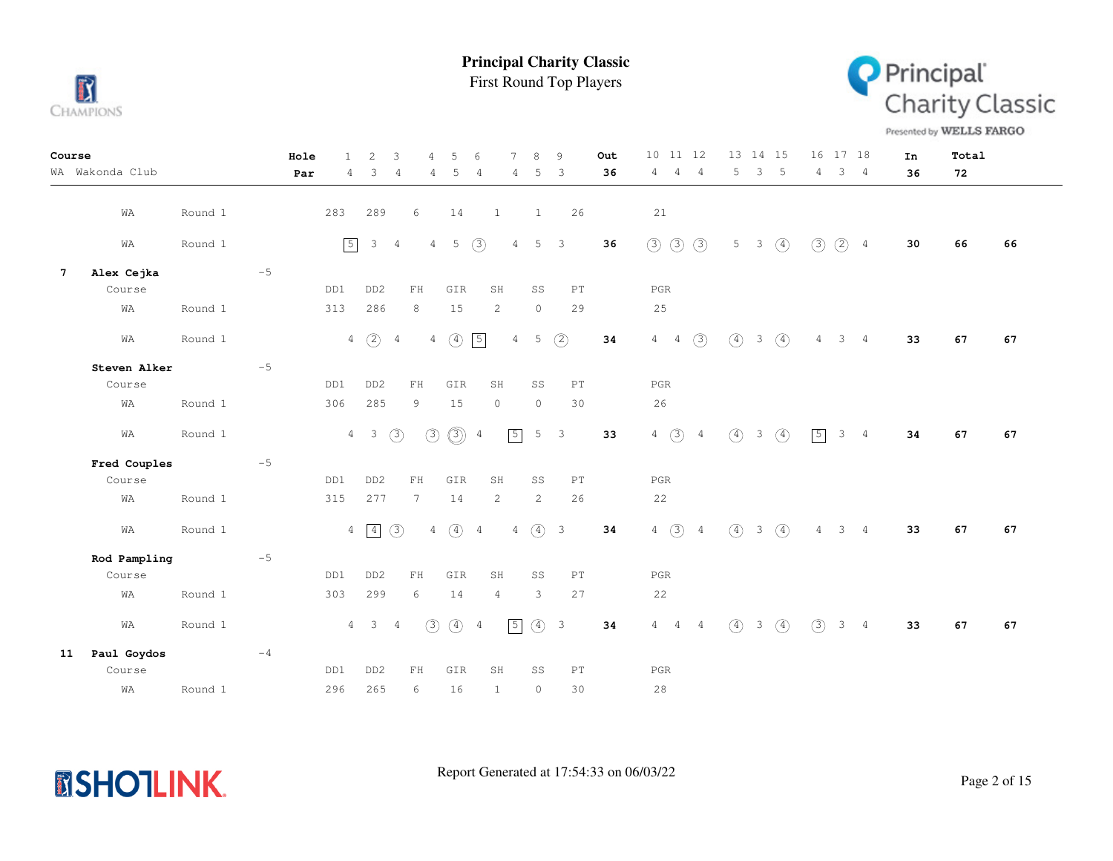

First Round Top Players



Presented by WELLS FARGO

| Course          |                 |         |      | Hole<br>$\mathbf{1}$ | 2                | 3<br>4                         | 5                                 | $\sqrt{2}$     | 7              | 8                     | 9                          | Out  | 10 11 12                       | 13 14 15                                           | 16 17 18                         | In | Total |    |
|-----------------|-----------------|---------|------|----------------------|------------------|--------------------------------|-----------------------------------|----------------|----------------|-----------------------|----------------------------|------|--------------------------------|----------------------------------------------------|----------------------------------|----|-------|----|
|                 | WA Wakonda Club |         |      | Par<br>$4^{\circ}$   | 3                | $\overline{4}$                 | 5<br>4                            | -4             | 4              | 5                     | $\overline{\mathbf{3}}$    | 36   | $4 -$<br>$4\quad 4$            | 3 <sub>5</sub><br>5                                | $4 -$<br>$3 \quad 4$             | 36 | 72    |    |
|                 |                 |         |      |                      |                  |                                |                                   |                |                |                       |                            |      |                                |                                                    |                                  |    |       |    |
|                 | WA              | Round 1 |      | 283                  | 289              | 6                              | 14                                | 1              |                | $\mathbf{1}$          | 26                         |      | 21                             |                                                    |                                  |    |       |    |
|                 | WA              | Round 1 |      | $\boxed{5}$          | $\mathcal{S}$    | $\overline{4}$                 | $5\phantom{.0}$<br>$\overline{4}$ | (3)            | $\overline{4}$ | 5                     | $\overline{\phantom{a}}$   | 36   | $\circled{3}$<br>$\circled{3}$ | $\circled{4}$<br>$5 \quad 3$                       | $(2)$ 4<br>(3)                   | 30 | 66    | 66 |
|                 |                 |         |      |                      |                  |                                |                                   |                |                |                       |                            |      |                                |                                                    |                                  |    |       |    |
| $7\phantom{.0}$ | Alex Cejka      |         | $-5$ |                      |                  |                                |                                   |                |                |                       |                            |      |                                |                                                    |                                  |    |       |    |
|                 | Course          |         |      | DD1                  | DD <sub>2</sub>  | FH                             | GIR                               | SH             |                | SS                    | PT                         |      | $_{\rm PGR}$                   |                                                    |                                  |    |       |    |
|                 | WA              | Round 1 |      | 313                  | 286              | 8                              | 15                                |                | $\mathbf{2}$   | $\circ$               | 29                         |      | 25                             |                                                    |                                  |    |       |    |
|                 | WA              | Round 1 |      | $\overline{4}$       | $\circled{2}$    | $\overline{4}$                 | $\circled{4}$<br>4                | $\sqrt{5}$     | $\overline{4}$ | 5                     | (2)                        | $34$ | $\circled{3}$<br>$4\quad 4$    | $\circled{4}$<br>3 <sup>7</sup><br>$\circled{4}$   | 3 <sub>4</sub><br>4              | 33 | 67    | 67 |
|                 |                 |         |      |                      |                  |                                |                                   |                |                |                       |                            |      |                                |                                                    |                                  |    |       |    |
|                 | Steven Alker    |         | $-5$ |                      |                  |                                |                                   |                |                |                       |                            |      |                                |                                                    |                                  |    |       |    |
|                 | Course          |         |      | DD1                  | DD <sub>2</sub>  | FH                             | GIR                               |                | SH             | SS                    | PT                         |      | PGR                            |                                                    |                                  |    |       |    |
|                 | WA              | Round 1 |      | 306                  | 285              | 9                              | 15                                | $\circ$        |                | $\circ$               | 30                         |      | 26                             |                                                    |                                  |    |       |    |
|                 | WA              | Round 1 |      | $\overline{4}$       | $\mathcal{E}$    | $\circled{3}$<br>$\circled{3}$ | $\circledS$                       | $\overline{4}$ | $\sqrt{5}$     | 5                     | $\overline{\phantom{a}}$   | 33   | $4\quad)$<br>$\overline{4}$    | $\circ$<br>$\circled{4}$<br>3 <sup>7</sup>         | $\boxed{5}$<br>$3 \quad 4$       | 34 | 67    | 67 |
|                 |                 |         |      |                      |                  |                                |                                   |                |                |                       |                            |      |                                |                                                    |                                  |    |       |    |
|                 | Fred Couples    |         | $-5$ |                      |                  |                                |                                   |                |                |                       |                            |      |                                |                                                    |                                  |    |       |    |
|                 | Course          |         |      | DD1                  | DD <sub>2</sub>  | ${\rm FH}$                     | GIR                               | SH             |                | SS                    | $\mathop{\rm PT}\nolimits$ |      | $_{\rm PGR}$                   |                                                    |                                  |    |       |    |
|                 | WA              | Round 1 |      | 315                  | 277              | $7\phantom{.0}$                | 14                                |                | 2              | $\overline{2}$        | 26                         |      | 22                             |                                                    |                                  |    |       |    |
|                 | WA              | Round 1 |      |                      | $4 \overline{4}$ | (3)                            | $4\quad)$                         | $\overline{4}$ |                | $4 \quad (4) \quad 3$ |                            | $34$ | $4\quad)$<br>$\overline{4}$    | $\circled{4}$<br>$3 \quad (4)$                     | 3 <sub>4</sub><br>$\overline{4}$ | 33 | 67    | 67 |
|                 |                 |         |      |                      |                  |                                |                                   |                |                |                       |                            |      |                                |                                                    |                                  |    |       |    |
|                 | Rod Pampling    |         | $-5$ |                      |                  |                                |                                   |                |                |                       |                            |      |                                |                                                    |                                  |    |       |    |
|                 | Course          |         |      | DD1                  | DD <sub>2</sub>  | FH                             | GIR                               | SH             |                | SS                    | PT                         |      | $_{\rm PGR}$                   |                                                    |                                  |    |       |    |
|                 | WA              | Round 1 |      | 303                  | 299              | 6                              | 14                                | 4              |                | 3                     | 27                         |      | 22                             |                                                    |                                  |    |       |    |
|                 |                 |         |      |                      |                  |                                |                                   |                |                |                       |                            |      |                                |                                                    |                                  |    |       |    |
|                 | WA              | Round 1 |      |                      | $4 \quad 3$      | $\overline{4}$                 | (3)                               | $(4)$ 4        | $\sqrt{5}$     | (4) 3                 |                            | 34   | $4\quad 4\quad 4$              | $\circled{4}$<br>$\left(4\right)$<br>$\mathcal{S}$ | (3)<br>$3 \quad 4$               | 33 | 67    | 67 |
| 11              | Paul Goydos     |         | $-4$ |                      |                  |                                |                                   |                |                |                       |                            |      |                                |                                                    |                                  |    |       |    |
|                 | Course          |         |      | DD1                  | DD <sub>2</sub>  | FH                             | GIR                               | SH             |                | SS                    | PT                         |      | PGR                            |                                                    |                                  |    |       |    |
|                 | WA              | Round 1 |      | 296                  | 265              | 6                              | 16                                | $\mathbf{1}$   |                | $\circ$               | 30                         |      | 28                             |                                                    |                                  |    |       |    |

**MSHOTLINK.**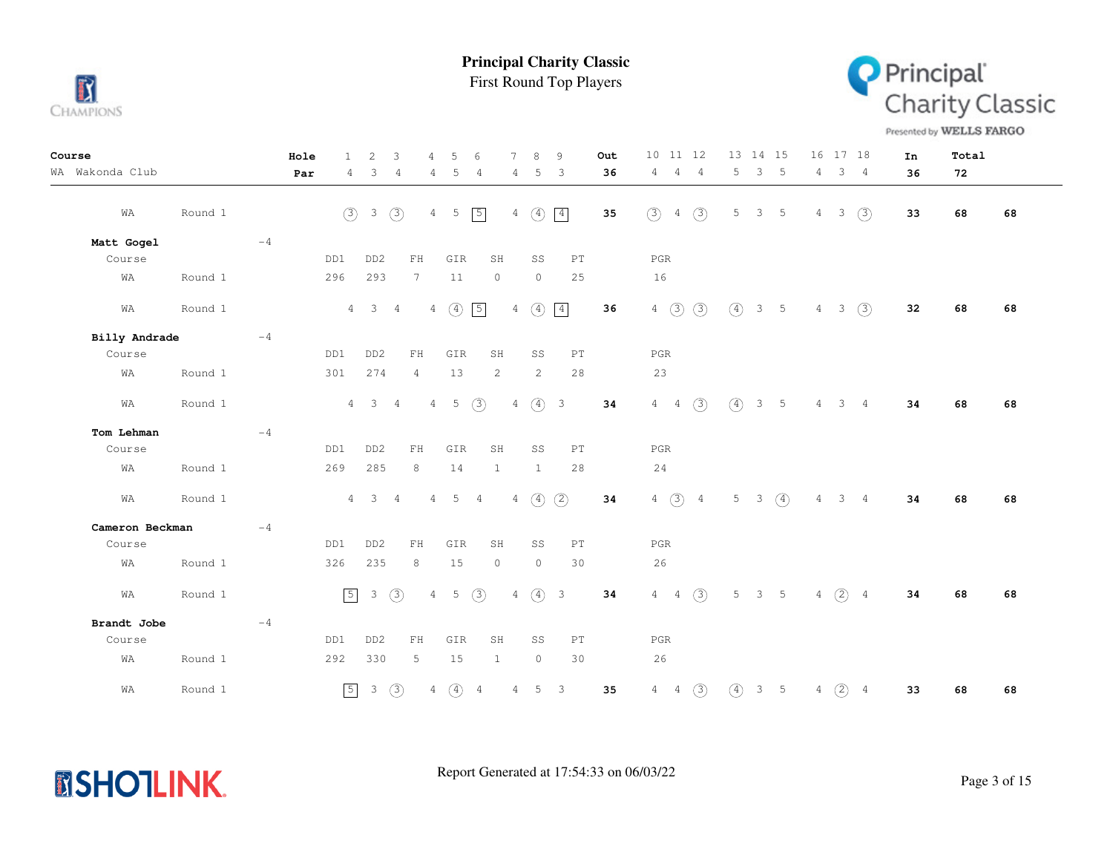

**MSHOTLINK.** 

**Principal Charity Classic**

First Round Top Players



Presented by WELLS FARGO

| Course          |         |      | Hole | $\mathbf{1}$ | $\overline{2}$      | 3              | 4               | 5               | $\sqrt{2}$     |                | 8               | 9                          | Out | 10 11 12                               | 13 14 15                        | 16 17 18                               | In | Total |    |
|-----------------|---------|------|------|--------------|---------------------|----------------|-----------------|-----------------|----------------|----------------|-----------------|----------------------------|-----|----------------------------------------|---------------------------------|----------------------------------------|----|-------|----|
| WA Wakonda Club |         |      | Par  | 4            | 3                   | $\overline{4}$ | 4               | 5               | 4              | 4              | 5               | 3                          | 36  | 4<br>4<br>$\sim$ 4                     | 3 <sub>5</sub><br>5             | 3 <sub>4</sub><br>4                    | 36 | 72    |    |
| WA              | Round 1 |      |      | (3)          | 3                   | (3)            |                 | $4 -$<br>5      | $\sqrt{5}$     | 4              | $\circled{4}$   | $\boxed{4}$                | 35  | (3)<br>$\circled{3}$<br>$\overline{4}$ | 5<br>3 <sub>5</sub>             | (3)<br>4<br>3                          | 33 | 68    | 68 |
| Matt Gogel      |         | $-4$ |      |              |                     |                |                 |                 |                |                |                 |                            |     |                                        |                                 |                                        |    |       |    |
| Course          |         |      |      | DD1          | DD <sub>2</sub>     |                | ${\rm FH}$      | GIR             |                | SH             | SS              | $\mathop{\rm PT}\nolimits$ |     | $_{\rm PGR}$                           |                                 |                                        |    |       |    |
| WA              | Round 1 |      |      | 296          | 293                 |                | $7\phantom{.0}$ | 11              |                | $\circ$        | $\circledcirc$  | 25                         |     | 16                                     |                                 |                                        |    |       |    |
| WA              | Round 1 |      |      |              | $4 \quad 3$         | $\overline{4}$ |                 | $4\quad)$       | $\boxed{5}$    | $\overline{4}$ | $\circled{4}$   | $\boxed{4}$                | 36  | $4\quad)$<br>$\circled{3}$             | $\circled{4}$<br>$3\quad 5$     | (3)<br>$\overline{4}$<br>$\mathcal{S}$ | 32 | 68    | 68 |
| Billy Andrade   |         | $-4$ |      |              |                     |                |                 |                 |                |                |                 |                            |     |                                        |                                 |                                        |    |       |    |
| Course          |         |      |      | DD1          | DD <sub>2</sub>     |                | FH              | GIR             |                | SH             | SS              | $\mathop{\rm PT}\nolimits$ |     | PGR                                    |                                 |                                        |    |       |    |
| WA              | Round 1 |      |      | 301          | 274                 |                | $\overline{4}$  | 13              |                | 2              | 2               | 28                         |     | 23                                     |                                 |                                        |    |       |    |
| WA              | Round 1 |      |      |              | $4 \quad 3$         | $\overline{4}$ | 4               | $5^{\circ}$     | (3)            | 4              |                 | (4) 3                      | 34  | $4\quad 4$<br>(3)                      | $\circ$<br>3 <sub>5</sub>       | $4 -$<br>$3 \quad 4$                   | 34 | 68    | 68 |
| Tom Lehman      |         | $-4$ |      |              |                     |                |                 |                 |                |                |                 |                            |     |                                        |                                 |                                        |    |       |    |
| Course          |         |      |      | DD1          | DD <sub>2</sub>     |                | FH              | GIR             |                | SH             | SS              | $\mathop{\rm PT}\nolimits$ |     | PGR                                    |                                 |                                        |    |       |    |
| WA              | Round 1 |      |      | 269          | 285                 |                | 8               | 14              |                | $\mathbf{1}$   | $\mathbf{1}$    | 28                         |     | 24                                     |                                 |                                        |    |       |    |
| WA              | Round 1 |      |      |              | $4 \quad 3 \quad 4$ |                | $4\overline{ }$ | $5\phantom{.0}$ | $\overline{4}$ |                | $4\quad)$       | (2)                        | 34  | 4 $(3)$ 4                              | 5 <sub>5</sub><br>$3 \quad (4)$ | $\overline{4}$<br>$3 \quad 4$          | 34 | 68    | 68 |
| Cameron Beckman |         | $-4$ |      |              |                     |                |                 |                 |                |                |                 |                            |     |                                        |                                 |                                        |    |       |    |
| Course          |         |      |      | DD1          | DD <sub>2</sub>     |                | ${\rm FH}$      | GIR             |                | SH             | SS              | $\mathop{\rm PT}\nolimits$ |     | PGR                                    |                                 |                                        |    |       |    |
| WA              | Round 1 |      |      | 326          | 235                 |                | 8               | 15              |                | $\circ$        | $\circledcirc$  | 30                         |     | 26                                     |                                 |                                        |    |       |    |
| WA              | Round 1 |      |      | $\sqrt{5}$   | $\mathbf{3}$        | (3)            | $\overline{4}$  | 5               | (3)            | 4              |                 | (4) 3                      | 34  | $4 \t 4 \t (3)$                        | 5<br>3 <sub>5</sub>             | $4\quad(2)\quad 4$                     | 34 | 68    | 68 |
| Brandt Jobe     |         | $-4$ |      |              |                     |                |                 |                 |                |                |                 |                            |     |                                        |                                 |                                        |    |       |    |
| Course          |         |      |      | DD1          | DD <sub>2</sub>     |                | FH              | GIR             |                | SH             | SS              | PT                         |     | PGR                                    |                                 |                                        |    |       |    |
| WA              | Round 1 |      |      | 292          | 330                 |                | 5               | 15              |                | 1              | $\circ$         | 30                         |     | 26                                     |                                 |                                        |    |       |    |
| WA              | Round 1 |      |      | $\boxed{5}$  | $\mathcal{S}$       | $\circled{3}$  | $\overline{4}$  | $\circled{4}$   | $\overline{4}$ | $\overline{4}$ | $5\phantom{.0}$ | $\overline{\phantom{a}}$   | 35  | (3)<br>$4\quad 4$                      | $\circled{4}$<br>$3\quad 5$     | $(2)$ 4<br>$\overline{4}$              | 33 | 68    | 68 |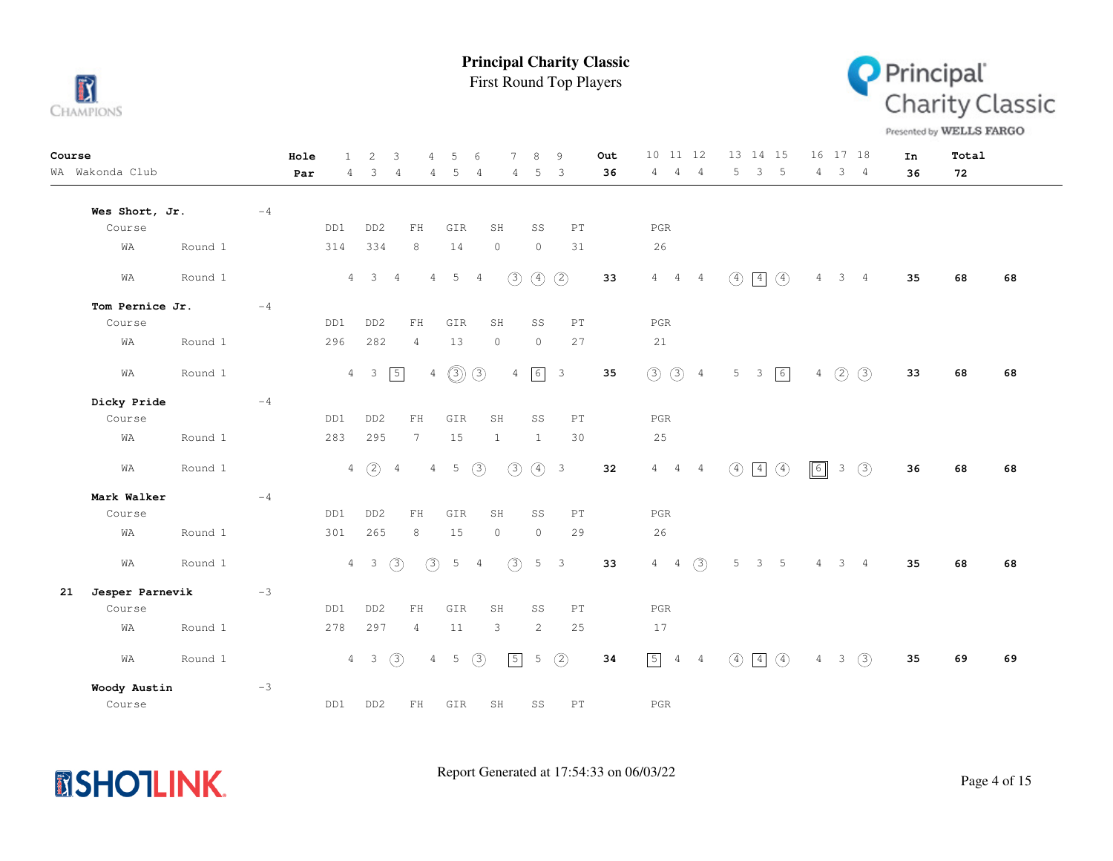





Presented by WELLS FARGO

| Course |                 |         |      | Hole | $\mathbf{1}$ | $\overline{2}$  | 3              | $\overline{4}$  | 5           | 6             | $\tau$         | 8             | 9                          | Out | 10<br>11 12                   |                |               | 13 14 15                     | 16             | 17 18          |                | In | Total |    |
|--------|-----------------|---------|------|------|--------------|-----------------|----------------|-----------------|-------------|---------------|----------------|---------------|----------------------------|-----|-------------------------------|----------------|---------------|------------------------------|----------------|----------------|----------------|----|-------|----|
|        | WA Wakonda Club |         |      | Par  | 4            | 3               | 4              | 4               | 5           | 4             | 4              | 5             | $\overline{3}$             | 36  | 4<br>4                        | $\overline{4}$ | 5             | 3<br>$-5$                    | 4              |                | 3 <sub>4</sub> | 36 | 72    |    |
|        | Wes Short, Jr.  |         | $-4$ |      |              |                 |                |                 |             |               |                |               |                            |     |                               |                |               |                              |                |                |                |    |       |    |
|        | Course          |         |      |      | DD1          | DD <sub>2</sub> |                | ${\rm FH}$      | GIR         |               | SH             | SS            | PT                         |     | $_{\rm PGR}$                  |                |               |                              |                |                |                |    |       |    |
|        | WA              | Round 1 |      |      | 314          | 334             |                | 8               | 14          |               | $\circ$        | $\circ$       | 31                         |     | 26                            |                |               |                              |                |                |                |    |       |    |
|        | WA              | Round 1 |      |      | $4 -$        | $\mathcal{S}$   | 4              | 4               | 5           | 4             | (3)            | $\circled{4}$ | $\circled{2}$              | 33  | $4\quad 4$                    | 4              | $\circled{4}$ | $\boxed{4}$<br>$\circled{4}$ | 4              | 3 <sup>7</sup> | $\overline{4}$ | 35 | 68    | 68 |
|        | Tom Pernice Jr. |         | $-4$ |      |              |                 |                |                 |             |               |                |               |                            |     |                               |                |               |                              |                |                |                |    |       |    |
|        | Course          |         |      |      | DD1          | DD <sub>2</sub> |                | ${\rm FH}$      | GIR         |               | SH             | SS            | $\mathop{\rm PT}\nolimits$ |     | $_{\rm PGR}$                  |                |               |                              |                |                |                |    |       |    |
|        | WA              | Round 1 |      |      | 296          | 282             |                | 4               | 13          |               | $\circ$        | $\circ$       | 27                         |     | 21                            |                |               |                              |                |                |                |    |       |    |
|        | WA              | Round 1 |      |      |              | $4 \quad 3$     | $\boxed{5}$    |                 | $4$ ①       | $\circled{3}$ | $\overline{4}$ | 6             | $\overline{\mathbf{3}}$    | 35  | $\circledcirc$                | $\overline{4}$ | 5             | 6<br>$\overline{\mathbf{3}}$ |                | $4\quad)$      | (3)            | 33 | 68    | 68 |
|        | Dicky Pride     |         | $-4$ |      |              |                 |                |                 |             |               |                |               |                            |     |                               |                |               |                              |                |                |                |    |       |    |
|        | Course          |         |      |      | DD1          | DD <sub>2</sub> |                | ${\rm FH}$      | GIR         |               | SH             | SS            | $\mathop{\rm PT}\nolimits$ |     | $_{\rm PGR}$                  |                |               |                              |                |                |                |    |       |    |
|        | WA              | Round 1 |      |      | 283          | 295             |                | $7\phantom{.0}$ | 15          |               | $\mathbf{1}$   | $\mathbf{1}$  | 30                         |     | 25                            |                |               |                              |                |                |                |    |       |    |
|        | WA              | Round 1 |      |      |              | $4\quad)$       | $\overline{4}$ | $\overline{4}$  | $\mathsf S$ | (3)           | (3)            | $\circled{4}$ | $\overline{\mathbf{3}}$    | 32  | $4\quad 4$                    | $\overline{4}$ | $\circled{4}$ | $\circled{4}$<br>$\boxed{4}$ | $\sqrt{6}$     | $\mathcal{S}$  | $\circled{3}$  | 36 | 68    | 68 |
|        | Mark Walker     |         | $-4$ |      |              |                 |                |                 |             |               |                |               |                            |     |                               |                |               |                              |                |                |                |    |       |    |
|        | Course          |         |      |      | DD1          | DD <sub>2</sub> |                | FH              | GIR         |               | SH             | SS            | $\mathop{\rm PT}\nolimits$ |     | $_{\rm PGR}$                  |                |               |                              |                |                |                |    |       |    |
|        | WA              | Round 1 |      |      | 301          | 265             |                | 8               | 15          |               | $\circ$        | $\circ$       | 29                         |     | 26                            |                |               |                              |                |                |                |    |       |    |
|        | WA              | Round 1 |      |      |              | $4\quad 3$      | (3)            | (3)             | 5           | 4             | (3)            |               | $5 \quad 3$                | 33  | $4\quad 4$                    | (3)            | 5             | $5^{\circ}$<br>$\mathbf{3}$  | $\overline{4}$ | 3 <sub>4</sub> |                | 35 | 68    | 68 |
| 21     | Jesper Parnevik |         | $-3$ |      |              |                 |                |                 |             |               |                |               |                            |     |                               |                |               |                              |                |                |                |    |       |    |
|        | Course          |         |      |      | DD1          | DD <sub>2</sub> |                | FH              | GIR         |               | SH             | SS            | $\mathop{\rm PT}\nolimits$ |     | $_{\rm PGR}$                  |                |               |                              |                |                |                |    |       |    |
|        | WA              | Round 1 |      |      | 278          | 297             |                | $\overline{4}$  | 11          |               | 3              | 2             | 25                         |     | 17                            |                |               |                              |                |                |                |    |       |    |
|        | WA              | Round 1 |      |      |              | $4 \quad 3$     | (3)            | $\overline{4}$  | 5           | $\circled{3}$ | $\sqrt{5}$     | 5             | $\circled{2}$              | 34  | $\boxed{5}$<br>$\overline{4}$ | $\overline{4}$ | $\circled{4}$ | $\boxed{4}$<br>$\circled{4}$ |                | 3<br>$4 -$     | (3)            | 35 | 69    | 69 |
|        | Woody Austin    |         | $-3$ |      |              |                 |                |                 |             |               |                |               |                            |     |                               |                |               |                              |                |                |                |    |       |    |
|        | Course          |         |      |      | DD1          | DD <sub>2</sub> |                | FH              | GIR         |               | SH             | SS            | PT                         |     | $_{\rm PGR}$                  |                |               |                              |                |                |                |    |       |    |

**MSHOTLINK.**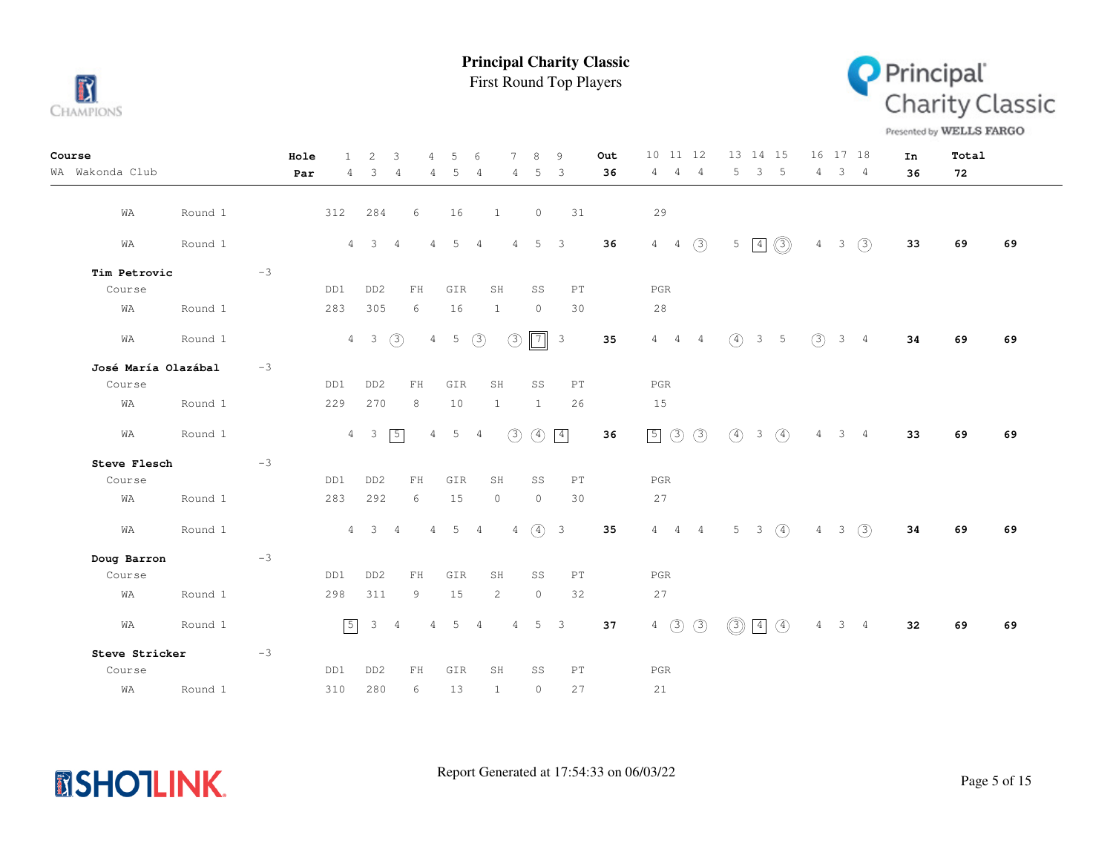

First Round Top Players



Presented by WELLS FARGO

| Course              |         |      | Hole | $\mathbf{1}$   | 2                       | 3              |                 | 5                                  | 6              |              |                | 8              | 9                        | Out | 10 11 12                              | 13 14 15                                    |                | 16 17 18     |                | In | Total |    |
|---------------------|---------|------|------|----------------|-------------------------|----------------|-----------------|------------------------------------|----------------|--------------|----------------|----------------|--------------------------|-----|---------------------------------------|---------------------------------------------|----------------|--------------|----------------|----|-------|----|
| WA Wakonda Club     |         |      | Par  | $4^{\circ}$    | 3                       | -4             | 4               | 5                                  | -4             |              | 4              | 5              | -3                       | 36  | 4<br>$\overline{4}$<br>$\overline{4}$ | 5<br>3 <sub>5</sub>                         | $4 -$          |              | 3 <sub>4</sub> | 36 | 72    |    |
|                     |         |      |      |                |                         |                |                 |                                    |                |              |                |                |                          |     |                                       |                                             |                |              |                |    |       |    |
| WA                  | Round 1 |      | 312  |                | 284                     |                | 6               | 16                                 |                | $\mathbf{1}$ |                | $\circledcirc$ | 31                       |     | 29                                    |                                             |                |              |                |    |       |    |
| WA                  | Round 1 |      |      |                | $4 \quad 3$             | $\overline{4}$ | $\overline{4}$  | 5                                  | $\overline{4}$ |              | $\overline{4}$ | 5 <sup>5</sup> | $\overline{\phantom{a}}$ | 36  | $4 \quad 4 \quad \textcircled{3}$     | $\circledS$<br>$5 \mid 4$                   | 4              | $3 -$        | (3)            | 33 | 69    | 69 |
|                     |         |      |      |                |                         |                |                 |                                    |                |              |                |                |                          |     |                                       |                                             |                |              |                |    |       |    |
| Tim Petrovic        |         | $-3$ |      |                |                         |                |                 |                                    |                |              |                |                |                          |     |                                       |                                             |                |              |                |    |       |    |
| Course              |         |      | DD1  |                | DD <sub>2</sub>         |                | FH              | GIR                                |                | SH           |                | SS             | PT                       |     | PGR                                   |                                             |                |              |                |    |       |    |
| WA                  | Round 1 |      | 283  |                | 305                     |                | 6               | 16                                 |                | 1            |                | $\circ$        | 30                       |     | 28                                    |                                             |                |              |                |    |       |    |
| WA                  | Round 1 |      |      |                | $4\quad 3$              | $\circled{3}$  |                 | $5\phantom{.0}$<br>$4\overline{ }$ | $\circled{3}$  |              | $\circledcirc$ | $\boxed{7}$    | $\overline{\mathbf{3}}$  | 35  | $4\quad 4\quad 4$                     | $(4)$ 3 5                                   | (3)            |              | $3 \quad 4$    | 34 | 69    | 69 |
| José María Olazábal |         | $-3$ |      |                |                         |                |                 |                                    |                |              |                |                |                          |     |                                       |                                             |                |              |                |    |       |    |
| Course              |         |      | DD1  |                | DD <sub>2</sub>         |                | FH              | GIR                                |                | SH           |                | SS             | PT                       |     | PGR                                   |                                             |                |              |                |    |       |    |
| WA                  | Round 1 |      | 229  |                | 270                     |                | 8               | 10                                 |                | $\mathbf{1}$ |                | $\mathbf{1}$   | 26                       |     | 15                                    |                                             |                |              |                |    |       |    |
| WA                  | Round 1 |      |      | $\overline{4}$ | $\overline{\mathbf{3}}$ | 5              | $\overline{4}$  | 5                                  | 4              |              | (3)            | $\circled{4}$  | $\boxed{4}$              | 36  | 50<br>(3)                             | $\circ$<br>$\circled{4}$<br>3 <sup>7</sup>  | 4              |              | 3 <sub>4</sub> | 33 | 69    | 69 |
| Steve Flesch        |         | $-3$ |      |                |                         |                |                 |                                    |                |              |                |                |                          |     |                                       |                                             |                |              |                |    |       |    |
| Course              |         |      | DD1  |                | DD <sub>2</sub>         |                | ${\rm FH}$      | GIR                                |                | SH           |                | SS             | PT                       |     | PGR                                   |                                             |                |              |                |    |       |    |
| WA                  | Round 1 |      | 283  |                | 292                     |                | 6               | 15                                 |                | $\circ$      |                | $\circledcirc$ | 30                       |     | 27                                    |                                             |                |              |                |    |       |    |
| WA                  | Round 1 |      |      |                | $4\quad 3$              | $\overline{4}$ |                 | $4\quad 5$                         | $\overline{4}$ |              | 4              | $(4)$ 3        |                          | 35  | $4\quad 4\quad 4$                     | $5 -$<br>$\left(4\right)$<br>3 <sup>7</sup> | $\overline{4}$ | $\mathbf{3}$ | (3)            | 34 | 69    | 69 |
| Doug Barron         |         | $-3$ |      |                |                         |                |                 |                                    |                |              |                |                |                          |     |                                       |                                             |                |              |                |    |       |    |
| Course              |         |      | DD1  |                | DD <sub>2</sub>         |                | FH              | GIR                                |                | SH           |                | SS             | PT                       |     | PGR                                   |                                             |                |              |                |    |       |    |
| WA                  | Round 1 |      | 298  |                | 311                     |                | 9               | 15                                 |                | 2            |                | $\circledcirc$ | 32                       |     | 27                                    |                                             |                |              |                |    |       |    |
| WA                  | Round 1 |      |      | $\sqrt{5}$     | $\mathcal{S}$           | $\overline{4}$ | $4\overline{ }$ | $5^{\circ}$                        | $\overline{4}$ |              | $\overline{4}$ | $5 \quad 3$    |                          | 37  | $4\quad)$<br>$\circled{3}$            | $\circledS$<br>$\circled{4}$<br>$\boxed{4}$ | $\overline{4}$ |              | 3 <sub>4</sub> | 32 | 69    | 69 |
| Steve Stricker      |         | $-3$ |      |                |                         |                |                 |                                    |                |              |                |                |                          |     |                                       |                                             |                |              |                |    |       |    |
| Course              |         |      | DD1  |                | DD <sub>2</sub>         |                | FH              | GIR                                |                | SH           |                | SS             | PT                       |     | PGR                                   |                                             |                |              |                |    |       |    |
| WA                  | Round 1 |      | 310  |                | 280                     |                | 6               | 13                                 |                | $\mathbf{1}$ |                | $\circ$        | 27                       |     | 21                                    |                                             |                |              |                |    |       |    |

**MSHOTLINK.**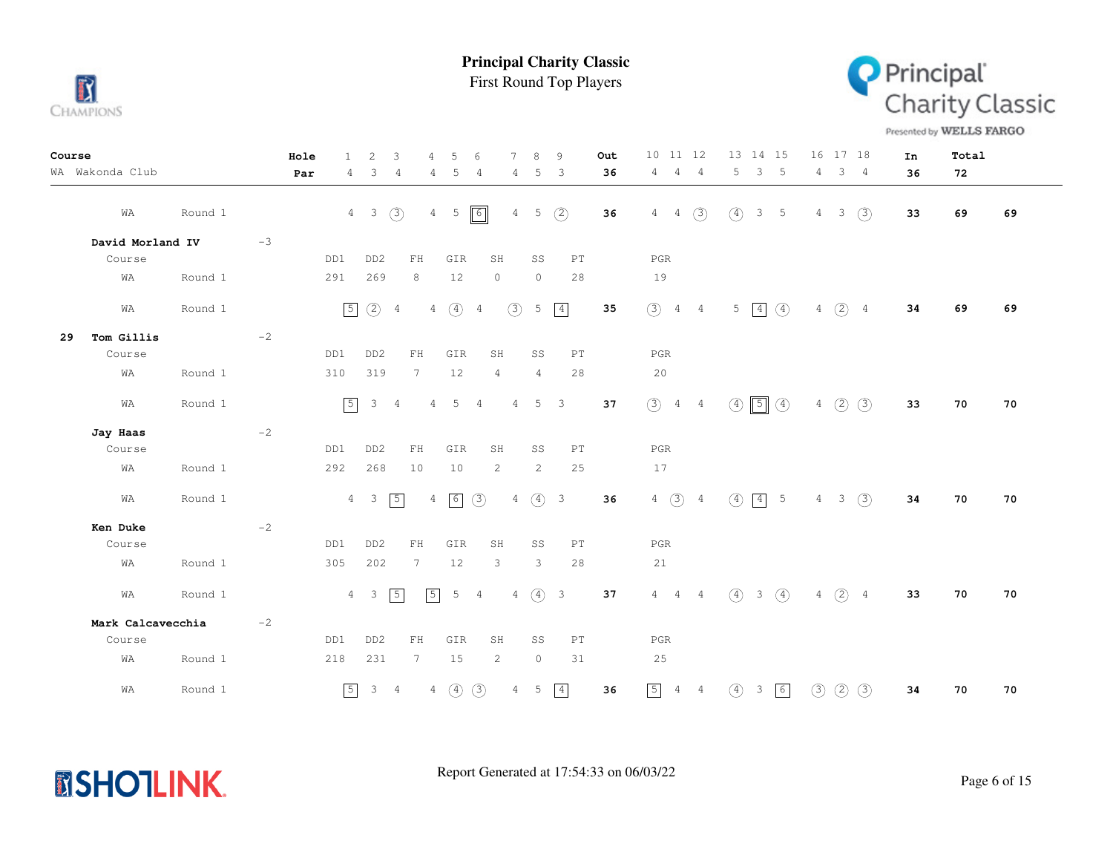

First Round Top Players



Presented by WELLS FARGO

| Course |                   |         |      | Hole | $\mathbf{1}$    | 2                       | 3              | 4               | 5             | 6              | $\overline{7}$ | 8              | 9                       |                            | Out | 10 11 12          |                | 13 14 15                      |                         |                | 16 17 18    |                | In | Total |    |
|--------|-------------------|---------|------|------|-----------------|-------------------------|----------------|-----------------|---------------|----------------|----------------|----------------|-------------------------|----------------------------|-----|-------------------|----------------|-------------------------------|-------------------------|----------------|-------------|----------------|----|-------|----|
|        | WA Wakonda Club   |         |      | Par  | 4               | 3                       | 4              | 4               | 5             | $\overline{4}$ | 4              | 5              | 3                       |                            | 36  | 4<br>4            | - 4            | 5<br>3                        | -5                      | 4              |             | 3 <sub>4</sub> | 36 | 72    |    |
|        | WA                | Round 1 |      |      | $4\overline{ }$ | $\overline{\mathbf{3}}$ | (3)            | $\overline{4}$  | $-5$          | $\boxed{6}$    | $\overline{4}$ | 5              | (2)                     |                            | 36  | 4<br>4            | $\circled{3}$  | $\circled{4}$                 | $3 -$<br>-5             | 4              | 3           | (3)            | 33 | 69    | 69 |
|        | David Morland IV  |         | $-3$ |      |                 |                         |                |                 |               |                |                |                |                         |                            |     |                   |                |                               |                         |                |             |                |    |       |    |
|        | Course            |         |      | DD1  |                 | DD <sub>2</sub>         |                | FH              | GIR           |                | SH             | SS             |                         | $\mathop{\rm PT}\nolimits$ |     | PGR               |                |                               |                         |                |             |                |    |       |    |
|        | WA                | Round 1 |      | 291  |                 | 269                     |                | 8               | 12            |                | $\circ$        | $\circ$        |                         | 28                         |     | 19                |                |                               |                         |                |             |                |    |       |    |
|        | WA                | Round 1 |      |      | $\boxed{5}$     | $\circled{2}$           | $\overline{4}$ | $\overline{4}$  | $\circled{4}$ | $\overline{4}$ | (3)            | 5              | $\boxed{4}$             |                            | 35  | $\circled{3}$     | $4\quad 4$     | $5 \mid 4$                    | $\circ$                 |                | 4(2)4       |                | 34 | 69    | 69 |
| 29     | Tom Gillis        |         | $-2$ |      |                 |                         |                |                 |               |                |                |                |                         |                            |     |                   |                |                               |                         |                |             |                |    |       |    |
|        | Course            |         |      | DD1  |                 | DD <sub>2</sub>         |                | ${\rm FH}$      | GIR           |                | SH             | SS             |                         | PT                         |     | PGR               |                |                               |                         |                |             |                |    |       |    |
|        | WA                | Round 1 |      | 310  |                 | 319                     |                | 7               | 12            |                | $\overline{4}$ | $\overline{4}$ |                         | 28                         |     | 20                |                |                               |                         |                |             |                |    |       |    |
|        | WA                | Round 1 |      |      | $\boxed{5}$     | 3                       | -4             | $\overline{4}$  | 5             | $\overline{4}$ | $\overline{4}$ | 5              | $\overline{\mathbf{3}}$ |                            | 37  | $(3)$ 4 4         |                | ④                             | $\boxed{5}$ $\boxed{4}$ |                | $4$ (2) (3) |                | 33 | 70    | 70 |
|        | Jay Haas          |         | $-2$ |      |                 |                         |                |                 |               |                |                |                |                         |                            |     |                   |                |                               |                         |                |             |                |    |       |    |
|        | Course            |         |      | DD1  |                 | DD <sub>2</sub>         |                | FH              | GIR           |                | SH             | SS             |                         | PT                         |     | $_{\rm PGR}$      |                |                               |                         |                |             |                |    |       |    |
|        | WA                | Round 1 |      | 292  |                 | 268                     |                | 10              | 10            |                | 2              | 2              |                         | 25                         |     | 17                |                |                               |                         |                |             |                |    |       |    |
|        | WA                | Round 1 |      |      | $\overline{4}$  | $\overline{\mathbf{3}}$ | $\boxed{5}$    |                 | $4 \mid 6$    | (3)            |                |                | $4\quad(4)$ 3           |                            | 36  | $4\quad)$         | $\overline{4}$ | $\circ$                       | $\boxed{4}$ 5           | $4 -$          |             | 3(3)           | 34 | 70    | 70 |
|        | Ken Duke          |         | $-2$ |      |                 |                         |                |                 |               |                |                |                |                         |                            |     |                   |                |                               |                         |                |             |                |    |       |    |
|        | Course            |         |      | DD1  |                 | DD <sub>2</sub>         |                | ${\rm FH}$      | GIR           |                | SH             | SS             |                         | PT                         |     | $_{\rm PGR}$      |                |                               |                         |                |             |                |    |       |    |
|        | WA                | Round 1 |      | 305  |                 | 202                     |                | $7\phantom{.0}$ | 12            |                | 3              | 3              |                         | 28                         |     | 21                |                |                               |                         |                |             |                |    |       |    |
|        | WA                | Round 1 |      |      | $\overline{4}$  | $\overline{\mathbf{3}}$ | $\sqrt{5}$     | $\sqrt{5}$      | 5             | $\overline{4}$ |                | $\overline{4}$ | (4) 3                   |                            | 37  | $4\quad 4\quad 4$ |                | $\left(4\right)$              | $3 \quad (4)$           | $\overline{4}$ | $(2)$ 4     |                | 33 | 70    | 70 |
|        | Mark Calcavecchia |         | $-2$ |      |                 |                         |                |                 |               |                |                |                |                         |                            |     |                   |                |                               |                         |                |             |                |    |       |    |
|        | Course            |         |      | DD1  |                 | DD <sub>2</sub>         |                | ${\rm FH}$      | GIR           |                | SH             | SS             |                         | PT                         |     | $_{\rm PGR}$      |                |                               |                         |                |             |                |    |       |    |
|        | WA                | Round 1 |      | 218  |                 | 231                     |                | 7               | 15            |                | $\overline{c}$ | $\circ$        |                         | 31                         |     | 25                |                |                               |                         |                |             |                |    |       |    |
|        | WA                | Round 1 |      |      | $\sqrt{5}$      | $3 \quad 4$             |                | $\overline{4}$  | $\circled{4}$ | (3)            | 4              | 5              | $\boxed{4}$             |                            | 36  | $\boxed{5}$       | $4\quad 4$     | $\circled{4}$<br>$\mathbf{3}$ | 6                       | (3)            | (2)         | (3)            | 34 | 70    | 70 |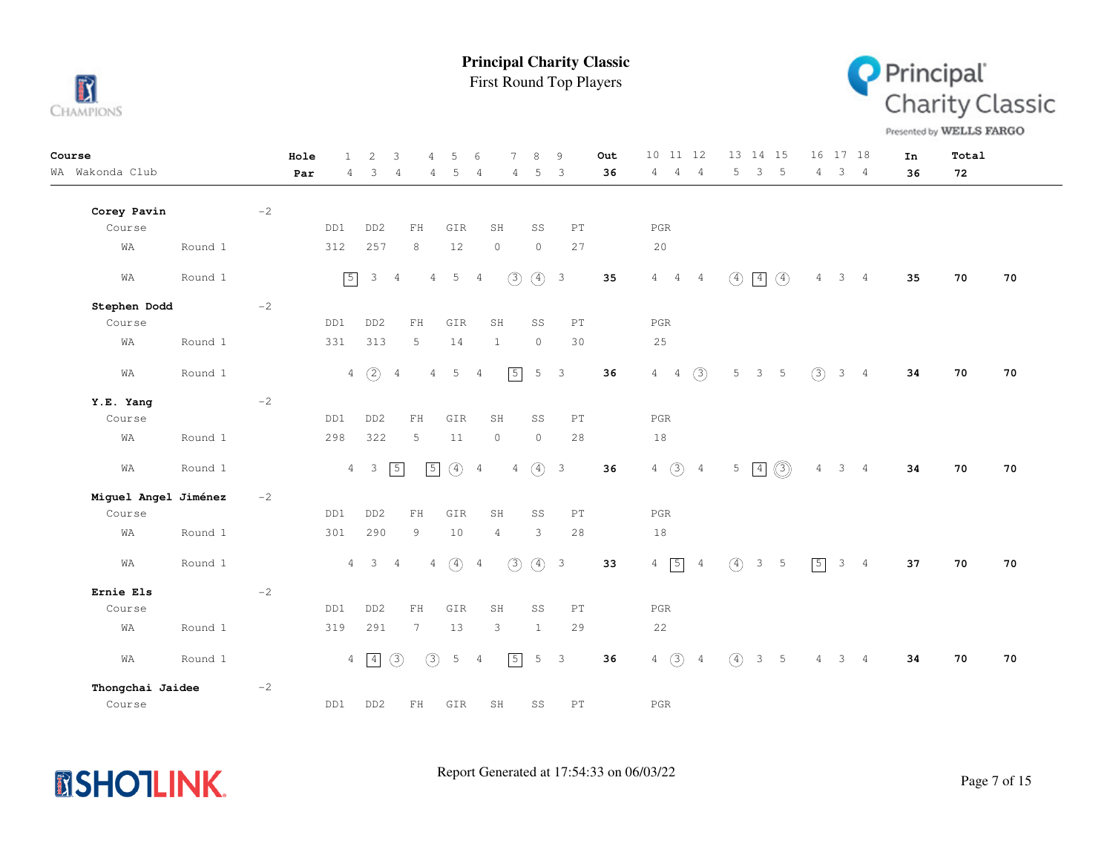

First Round Top Players



Presented by WELLS FARGO

| Course               |         |      | Hole | $\mathbf{1}$    | 2                        | 3              | 4               | 5              | 6              | 7              | 8             | 9                          | Out | 10 11 12                        |                |               | 13 14 15       |                | 16             | 17 18 |                | In | Total |    |
|----------------------|---------|------|------|-----------------|--------------------------|----------------|-----------------|----------------|----------------|----------------|---------------|----------------------------|-----|---------------------------------|----------------|---------------|----------------|----------------|----------------|-------|----------------|----|-------|----|
| WA Wakonda Club      |         |      | Par  | 4               | 3                        | 4              | 4               | 5              | $\overline{4}$ | 4              | 5             | $\overline{3}$             | 36  | $\overline{4}$<br>4             | $\overline{4}$ | 5             | $\mathcal{S}$  | - 5            | 4              |       | $3 \quad 4$    | 36 | 72    |    |
| Corey Pavin          |         | $-2$ |      |                 |                          |                |                 |                |                |                |               |                            |     |                                 |                |               |                |                |                |       |                |    |       |    |
| Course               |         |      |      | DD1             | DD <sub>2</sub>          |                | ${\rm FH}$      | GIR            |                | SH             | SS            | $\mathop{\rm PT}\nolimits$ |     | $_{\rm PGR}$                    |                |               |                |                |                |       |                |    |       |    |
| WA                   | Round 1 |      |      | 312             | 257                      |                | 8               | 12             |                | $\circ$        | $\circ$       | 27                         |     | 20                              |                |               |                |                |                |       |                |    |       |    |
| WA                   | Round 1 |      |      | $\sqrt{5}$      | $\mathcal{S}$            | $\overline{4}$ | 4               | 5 <sub>5</sub> | $\overline{4}$ | (3)            | (4) 3         |                            | 35  | $4\quad 4$                      | $\overline{4}$ | $\circled{4}$ | $\boxed{4}$    | $\circled{4}$  | 4              |       | $3 \quad 4$    | 35 | 70    | 70 |
| Stephen Dodd         |         | $-2$ |      |                 |                          |                |                 |                |                |                |               |                            |     |                                 |                |               |                |                |                |       |                |    |       |    |
| Course               |         |      |      | DD1             | DD <sub>2</sub>          |                | ${\rm FH}$      | GIR            |                | SH             | SS            | $\mathop{\rm PT}\nolimits$ |     | PGR                             |                |               |                |                |                |       |                |    |       |    |
| WA                   | Round 1 |      |      | 331             | 313                      |                | 5               | 14             |                | $\mathbf{1}$   | $\circ$       | 30                         |     | 25                              |                |               |                |                |                |       |                |    |       |    |
| WA                   | Round 1 |      |      |                 | $4\quad)$                | $\overline{4}$ | $\overline{4}$  | 5              | $\overline{4}$ | $\boxed{5}$    | 5             | $\overline{\mathbf{3}}$    | 36  | $4\quad 4$                      | (3)            | 5             | 3 <sub>5</sub> |                | (3)            |       | $3 \quad 4$    | 34 | 70    | 70 |
| Y.E. Yang            |         | $-2$ |      |                 |                          |                |                 |                |                |                |               |                            |     |                                 |                |               |                |                |                |       |                |    |       |    |
| Course               |         |      |      | DD1             | DD <sub>2</sub>          |                | ${\rm FH}$      | GIR            |                | SH             | SS            | PT                         |     | PGR                             |                |               |                |                |                |       |                |    |       |    |
| WA                   | Round 1 |      |      | 298             | 322                      |                | 5               | 11             |                | $\circ$        | $\circ$       | 28                         |     | $1\,8$                          |                |               |                |                |                |       |                |    |       |    |
| WA                   | Round 1 |      |      | $\overline{4}$  | $\overline{\phantom{a}}$ | $\sqrt{5}$     | $\sqrt{5}$      | $\circled{4}$  | $\overline{4}$ | $\overline{4}$ | $\circled{4}$ | $\overline{\mathbf{3}}$    | 36  | $\circled{3}$<br>$\overline{4}$ | $\overline{4}$ | 5             | $\boxed{4}$    | $\circledS$    | $\overline{4}$ |       | 3 <sub>4</sub> | 34 | 70    | 70 |
| Miguel Angel Jiménez |         | $-2$ |      |                 |                          |                |                 |                |                |                |               |                            |     |                                 |                |               |                |                |                |       |                |    |       |    |
| Course               |         |      |      | DD1             | DD <sub>2</sub>          |                | ${\rm FH}$      | GIR            |                | SH             | SS            | $\mathop{\rm PT}\nolimits$ |     | $_{\rm PGR}$                    |                |               |                |                |                |       |                |    |       |    |
| WA                   | Round 1 |      |      | 301             | 290                      |                | 9               | 10             |                | $\overline{4}$ | 3             | 28                         |     | 18                              |                |               |                |                |                |       |                |    |       |    |
| WA                   | Round 1 |      |      | $\overline{4}$  | $\overline{3}$           | $\overline{4}$ | $\overline{4}$  | $\circ$        | $\overline{4}$ | (3)            | (4) 3         |                            | 33  | 5<br>$\overline{4}$             | $\overline{4}$ | $\circ$       |                | 3 <sub>5</sub> | $\sqrt{5}$     |       | $3 \quad 4$    | 37 | 70    | 70 |
| Ernie Els            |         | $-2$ |      |                 |                          |                |                 |                |                |                |               |                            |     |                                 |                |               |                |                |                |       |                |    |       |    |
| Course               |         |      |      | DD1             | DD <sub>2</sub>          |                | ${\rm FH}$      | GIR            |                | SH             | SS            | $\mathop{\rm PT}\nolimits$ |     | PGR                             |                |               |                |                |                |       |                |    |       |    |
| WA                   | Round 1 |      |      | 319             | 291                      |                | $7\phantom{.0}$ | 13             |                | 3              | $\mathbf{1}$  | 29                         |     | 22                              |                |               |                |                |                |       |                |    |       |    |
| WA                   | Round 1 |      |      | $4\overline{ }$ | $\boxed{4}$              | $\circled{3}$  | $\circled{3}$   | 5              | $\overline{4}$ | $\sqrt{5}$     |               | 5 <sup>3</sup>             | 36  | $4 \text{ } 3 \text{ } 4$       |                | $\circled{4}$ |                | 3 <sub>5</sub> | $\overline{4}$ |       | 3 <sub>4</sub> | 34 | 70    | 70 |
| Thongchai Jaidee     |         | $-2$ |      |                 |                          |                |                 |                |                |                |               |                            |     |                                 |                |               |                |                |                |       |                |    |       |    |
| Course               |         |      |      | DD1             | DD <sub>2</sub>          |                | FH              | GIR            |                | SH             | SS            | PT                         |     | $_{\rm PGR}$                    |                |               |                |                |                |       |                |    |       |    |

**MSHOTLINK.**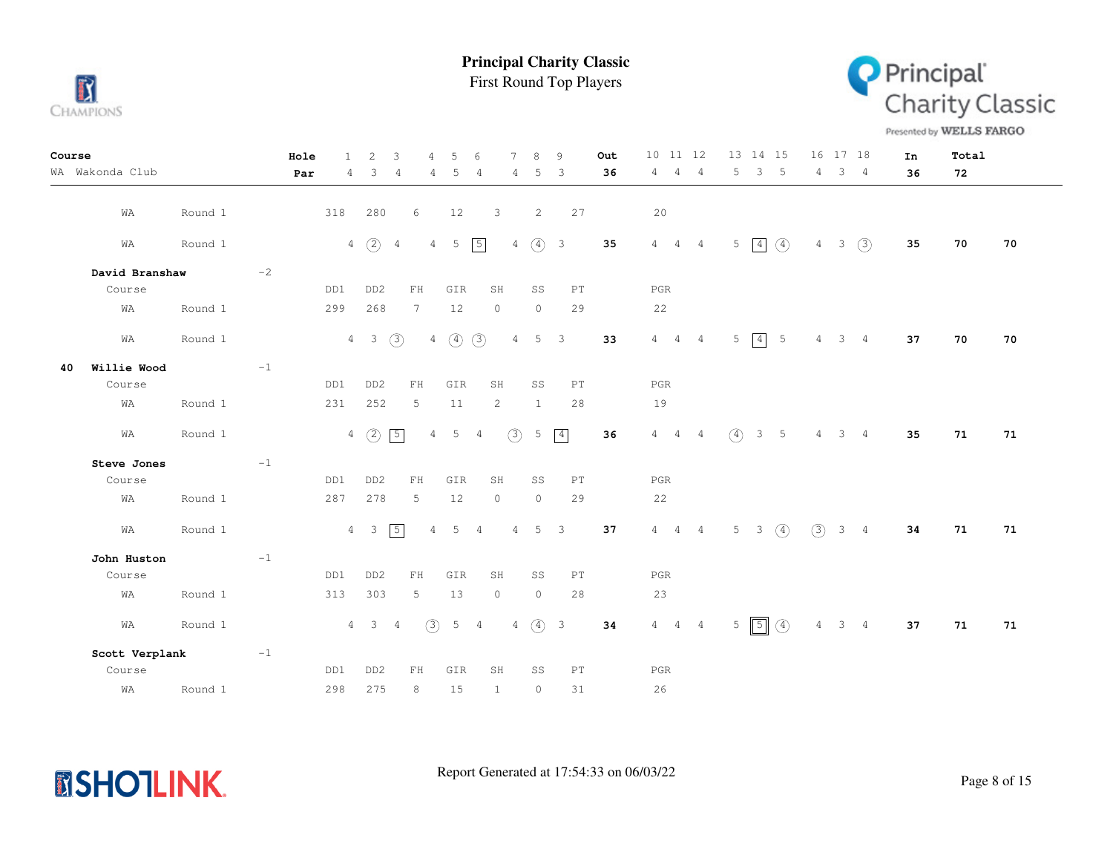

First Round Top Players



Presented by WELLS FARGO

| Course |                 |         |             | Hole | $\mathbf{1}$ | $\overline{2}$  | 3              | 4               | 5           | 6              | 7              | 8              | 9           | Out  | 10 11 12          |                | 13 14 15          |                |               |                 | 16 17 18 |                | In | Total |    |
|--------|-----------------|---------|-------------|------|--------------|-----------------|----------------|-----------------|-------------|----------------|----------------|----------------|-------------|------|-------------------|----------------|-------------------|----------------|---------------|-----------------|----------|----------------|----|-------|----|
|        | WA Wakonda Club |         |             | Par  | 4            | 3               | $\overline{4}$ | 4               | 5           | 4              | 4              | 5              | 3           | 36   | 4<br>4            | $\overline{4}$ | 5                 | 3 <sup>7</sup> | 5             | 4               |          | 3 <sub>4</sub> | 36 | 72    |    |
|        |                 |         |             |      |              |                 |                |                 |             |                |                |                |             |      |                   |                |                   |                |               |                 |          |                |    |       |    |
|        | WA              | Round 1 |             |      | 318          | 280             |                | 6               | 12          |                | 3              | 2              | 27          |      | 20                |                |                   |                |               |                 |          |                |    |       |    |
|        | WA              | Round 1 |             |      |              | $4\quad)$       | $\frac{4}{3}$  |                 | $4\quad 5$  | $\sqrt{5}$     | $4 -$          |                | (4) 3       | 35   | $4\quad 4\quad 4$ |                | $5\quad 4\quad 4$ |                |               | $4\overline{ }$ |          | $3 \quad (3)$  | 35 | 70    | 70 |
|        |                 |         |             |      |              |                 |                |                 |             |                |                |                |             |      |                   |                |                   |                |               |                 |          |                |    |       |    |
|        | David Branshaw  |         | $^{\rm -2}$ |      |              |                 |                |                 |             |                |                |                |             |      |                   |                |                   |                |               |                 |          |                |    |       |    |
|        | Course          |         |             |      | DD1          | DD <sub>2</sub> |                | FH              | GIR         |                | SH             | SS             | PT          |      | PGR               |                |                   |                |               |                 |          |                |    |       |    |
|        | WA              | Round 1 |             |      | 299          | 268             |                | $7\phantom{.0}$ | 12          |                | $\circ$        | $\circledcirc$ | 29          |      | 22                |                |                   |                |               |                 |          |                |    |       |    |
|        | WA              | Round 1 |             |      |              | $4\quad 3$      | $\circled{3}$  |                 | $4\quad)$   | $\circled{3}$  | $\overline{4}$ |                | $5 \quad 3$ | 33   | $4\quad 4\quad 4$ |                | $5\quad 4\quad 5$ |                |               | $\overline{4}$  |          | $3 \quad 4$    | 37 | 70    | 70 |
| 40     | Willie Wood     |         | $-1$        |      |              |                 |                |                 |             |                |                |                |             |      |                   |                |                   |                |               |                 |          |                |    |       |    |
|        | Course          |         |             |      | DD1          | DD <sub>2</sub> |                | ${\rm FH}$      | GIR         |                | SH             | SS             | PT          |      | $_{\rm PGR}$      |                |                   |                |               |                 |          |                |    |       |    |
|        | WA              | Round 1 |             |      | 231          | 252             |                | 5               | 11          |                | 2              | $\mathbf{1}$   | 28          |      | 19                |                |                   |                |               |                 |          |                |    |       |    |
|        | WA              | Round 1 |             |      |              | $4\quad)$       | $\boxed{5}$    | $\overline{4}$  | 5           | $\overline{4}$ | (3)            | 5              | $\boxed{4}$ | 36   | $4\quad 4\quad 4$ |                | $\circ$           | 3 <sub>5</sub> |               | $4\phantom{0}$  |          | $3 \quad 4$    | 35 | 71    | 71 |
|        | Steve Jones     |         | $-1$        |      |              |                 |                |                 |             |                |                |                |             |      |                   |                |                   |                |               |                 |          |                |    |       |    |
|        | Course          |         |             |      | DD1          | DD <sub>2</sub> |                | FH              | GIR         |                | SH             | SS             | PT          |      | $_{\rm PGR}$      |                |                   |                |               |                 |          |                |    |       |    |
|        | WA              | Round 1 |             |      | 287          | 278             |                | 5               | 12          |                | $\circ$        | $\circ$        | 29          |      | 22                |                |                   |                |               |                 |          |                |    |       |    |
|        | WA              | Round 1 |             |      |              | $4 \quad 3$     | $\boxed{5}$    | $\overline{4}$  | $5^{\circ}$ | $\overline{4}$ | $4 -$          |                | $5 \quad 3$ | 37   | $4\quad 4\quad 4$ |                | $5 \t3 \t(4)$     |                |               | (3)             |          | $3 \quad 4$    | 34 | 71    | 71 |
|        | John Huston     |         | $-1$        |      |              |                 |                |                 |             |                |                |                |             |      |                   |                |                   |                |               |                 |          |                |    |       |    |
|        | Course          |         |             |      | DD1          | DD <sub>2</sub> |                | ${\rm FH}$      | GIR         |                | SH             | SS             | PT          |      | $_{\rm PGR}$      |                |                   |                |               |                 |          |                |    |       |    |
|        | WA              | Round 1 |             |      | 313          | 303             |                | 5               | 13          |                | $\circ$        | $\circ$        | 28          |      | 23                |                |                   |                |               |                 |          |                |    |       |    |
|        | WA              | Round 1 |             |      |              | $4 \quad 3$     | $\frac{4}{3}$  | (3)             | 5           | $\overline{4}$ |                | $4\quad(4)$ 3  |             | $34$ | $4\quad 4\quad 4$ |                | $5\sqrt{5}$       |                | $\circled{4}$ | $\overline{4}$  |          | $3 \quad 4$    | 37 | 71    | 71 |
|        | Scott Verplank  |         | $-1$        |      |              |                 |                |                 |             |                |                |                |             |      |                   |                |                   |                |               |                 |          |                |    |       |    |
|        | Course          |         |             |      | DD1          | DD <sub>2</sub> |                | FH.             | GIR         |                | SH             | SS             | PT          |      | PGR               |                |                   |                |               |                 |          |                |    |       |    |
|        | WA              | Round 1 |             |      | 298          | 275             |                | 8               | 15          |                | 1              | $\circ$        | 31          |      | 26                |                |                   |                |               |                 |          |                |    |       |    |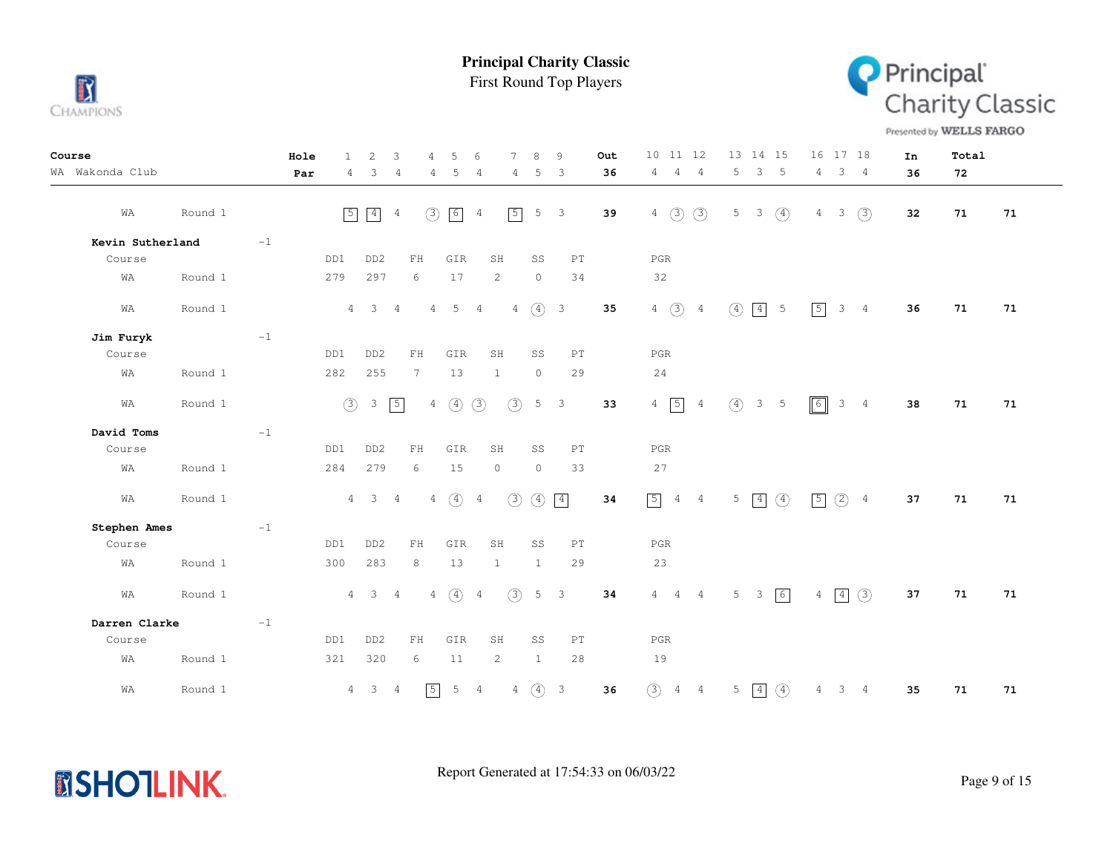

**MSHOTLINK.** 

**Principal Charity Classic**

First Round Top Players



Presented by WELLS FARGO

| Course           |         |             | Hole | $\mathbf{1}$   | 2                       | 3              | 4               | 5               | 6              | $\overline{7}$        | 8             | 9                          | Out | 10<br>11 12                       | 13 14 15                       | 16 17 18                         | In | Total |    |
|------------------|---------|-------------|------|----------------|-------------------------|----------------|-----------------|-----------------|----------------|-----------------------|---------------|----------------------------|-----|-----------------------------------|--------------------------------|----------------------------------|----|-------|----|
| WA Wakonda Club  |         |             | Par  | $\overline{4}$ | 3                       | $\overline{4}$ | 4               | - 5             | $\overline{4}$ | 4                     | 5             | $\overline{\mathbf{3}}$    | 36  | 4<br>$\frac{4}{3}$<br>4           | 5<br>3<br>$-5$                 | 3 <sub>4</sub><br>$4\phantom{0}$ | 36 | 72    |    |
| WA               | Round 1 |             |      | $\boxed{5}$    | $\boxed{4}$             | $\overline{4}$ | (3)             | $6\overline{6}$ | $\overline{4}$ | $\sqrt{5}$            | 5             | $\overline{\mathbf{3}}$    | 39  | $4\quad)$<br>(3)                  | 5<br>$\circled{4}$<br>3        | (3)<br>3<br>$\overline{4}$       | 32 | 71    | 71 |
| Kevin Sutherland |         | $-1$        |      |                |                         |                |                 |                 |                |                       |               |                            |     |                                   |                                |                                  |    |       |    |
| Course           |         |             |      | DD1            | DD <sub>2</sub>         |                | FH              | GIR             |                | SH                    | SS            | PT                         |     | $_{\rm PGR}$                      |                                |                                  |    |       |    |
| WA               | Round 1 |             |      | 279            | 297                     |                | 6               | 17              |                | 2                     | $\circ$       | 34                         |     | 32                                |                                |                                  |    |       |    |
|                  |         |             |      |                |                         |                |                 |                 |                |                       |               |                            |     |                                   |                                |                                  |    |       |    |
| WA               | Round 1 |             |      |                | $4 \quad 3$             | $\overline{4}$ |                 | $4\quad 5$      | $\overline{4}$ | $\overline{4}$        | $(4)$ 3       |                            | 35  | $4\quad)$<br>$\overline{4}$       | $\circled{4}$<br>$\boxed{4}$ 5 | $\boxed{5}$<br>$3 \quad 4$       | 36 | 71    | 71 |
| Jim Furyk        |         | $-1$        |      |                |                         |                |                 |                 |                |                       |               |                            |     |                                   |                                |                                  |    |       |    |
| Course           |         |             |      | DD1            | DD <sub>2</sub>         |                | FH              | GIR             |                | SH                    | SS            | PT                         |     | PGR                               |                                |                                  |    |       |    |
| WA               | Round 1 |             |      | 282            | 255                     |                | $7\phantom{.0}$ | 13              |                | $\mathbf{1}$          | $\circ$       | 29                         |     | 24                                |                                |                                  |    |       |    |
|                  |         |             |      |                |                         |                |                 |                 |                |                       |               |                            |     |                                   |                                |                                  |    |       |    |
| WA               | Round 1 |             |      | (3)            | $\mathcal{S}$           | $\boxed{5}$    | $\overline{4}$  | $\circled{4}$   | (3)            | (3)                   | 5             | $\overline{\phantom{a}}$   | 33  | $4\overline{5}$<br>$\overline{4}$ | $\circ$<br>3 <sub>5</sub>      | $\sqrt{6}$<br>$3 \quad 4$        | 38 | 71    | 71 |
| David Toms       |         | $-1$        |      |                |                         |                |                 |                 |                |                       |               |                            |     |                                   |                                |                                  |    |       |    |
| Course           |         |             |      | DD1            | DD <sub>2</sub>         |                | FH              | GIR             |                | SH                    | SS            | $\mathop{\rm PT}\nolimits$ |     | PGR                               |                                |                                  |    |       |    |
| WA               | Round 1 |             |      | 284            | 279                     |                | 6               | 15              |                | $\circ$               | $\circ$       | 33                         |     | 27                                |                                |                                  |    |       |    |
| WA               | Round 1 |             |      |                | $4 \qquad 3 \qquad 4$   |                | $\overline{4}$  | $\circled{4}$   | $\overline{4}$ | $\circled{3}$         | $\circled{4}$ | $\boxed{4}$                | 34  | $\boxed{5}$<br>4 4                | $5 \mid 4 \mid (4)$            | $(2)$ 4<br>$\sqrt{5}$            | 37 | 71    | 71 |
| Stephen Ames     |         | $^{\rm -1}$ |      |                |                         |                |                 |                 |                |                       |               |                            |     |                                   |                                |                                  |    |       |    |
| Course           |         |             |      | DD1            | DD <sub>2</sub>         |                | ${\rm FH}$      | GIR             |                | SH                    | SS            | PT                         |     | PGR                               |                                |                                  |    |       |    |
| WA               | Round 1 |             |      | 300            | 283                     |                | 8               | 13              |                | $\mathbf{1}$          | $\mathbf{1}$  | 29                         |     | 23                                |                                |                                  |    |       |    |
| WA               | Round 1 |             |      | 4              | $\overline{\mathbf{3}}$ | $\overline{4}$ | $\overline{4}$  | $\circled{4}$   | $\overline{4}$ | (3)                   |               | $5 \quad 3$                | 34  | $4\quad 4\quad 4$                 | $5 \quad 3 \quad 6$            | $4 \overline{4} \overline{3}$    | 37 | 71    | 71 |
| Darren Clarke    |         | $-1$        |      |                |                         |                |                 |                 |                |                       |               |                            |     |                                   |                                |                                  |    |       |    |
| Course           |         |             |      | DD1            | DD <sub>2</sub>         |                | FH              | GIR             |                | SH                    | SS            | PT                         |     | $_{\rm PGR}$                      |                                |                                  |    |       |    |
| WA               | Round 1 |             |      | 321            | 320                     |                | 6               | 11              |                | $\mathbf{2}^{\prime}$ | $\mathbf{1}$  | 28                         |     | 19                                |                                |                                  |    |       |    |
| WA               | Round 1 |             |      | $\overline{4}$ | 3 <sup>3</sup>          | $\overline{4}$ | $\sqrt{5}$      | $5 \qquad 4$    |                | $\overline{4}$        | $(4)$ 3       |                            | 36  | (3)<br>$4\quad 4$                 | $5 \mid 4$<br>$\circ$          | 3 <sub>4</sub><br>$\overline{4}$ | 35 | 71    | 71 |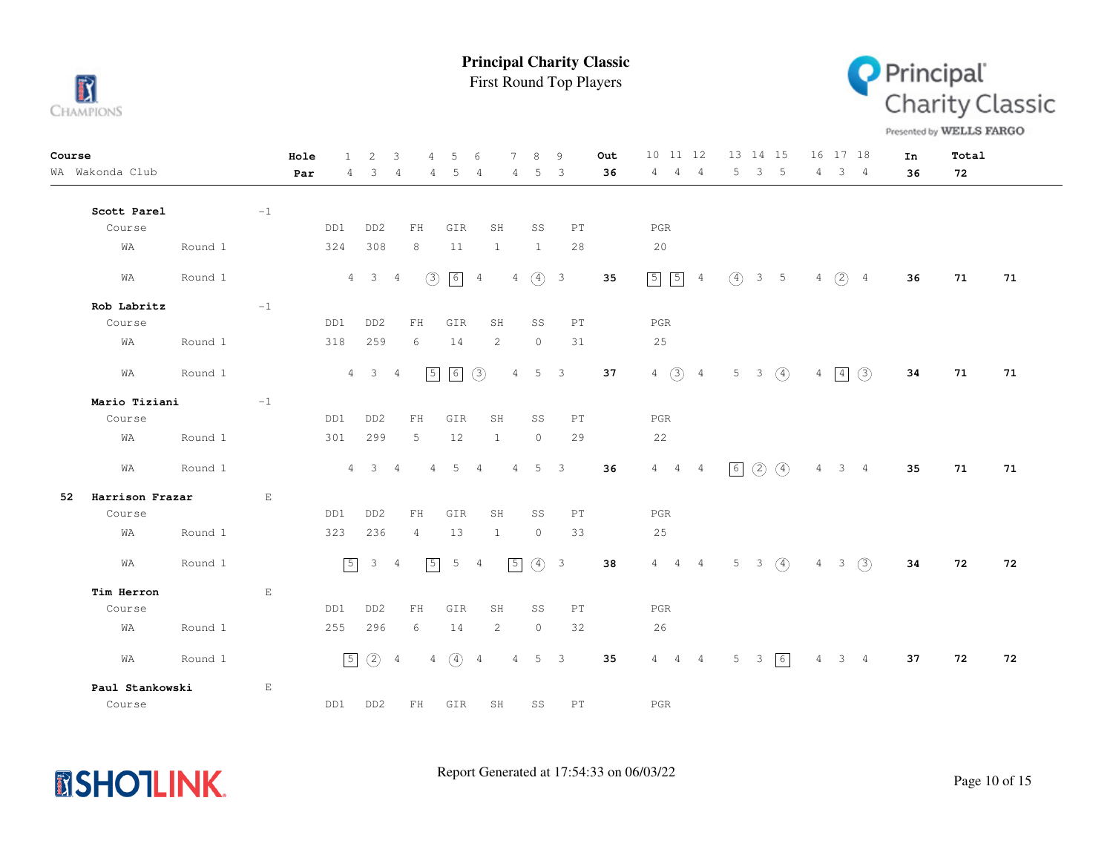

First Round Top Players



Presented by WELLS FARGO

| Course |                 |         |                        | Hole | $\mathbf{1}$   | 2                        | 3              | 4              | 5               | 6              | 7              | 8                   | 9                       | Out | 10 11 12                          | 13  14  15     |                |                  |   | 16 17 18       |                | In | Total |    |
|--------|-----------------|---------|------------------------|------|----------------|--------------------------|----------------|----------------|-----------------|----------------|----------------|---------------------|-------------------------|-----|-----------------------------------|----------------|----------------|------------------|---|----------------|----------------|----|-------|----|
|        | WA Wakonda Club |         |                        | Par  | 4              | 3                        | 4              | 4              | 5               | 4              | 4              | 5                   | 3                       | 36  | 4<br>4<br>4                       | 5.             | 3              | -5               | 4 | 3              | -4             | 36 | 72    |    |
|        | Scott Parel     |         | $-1$                   |      |                |                          |                |                |                 |                |                |                     |                         |     |                                   |                |                |                  |   |                |                |    |       |    |
|        | Course          |         |                        |      | DD1            | DD <sub>2</sub>          |                | FH             | GIR             |                | SH             | SS                  | PT                      |     | PGR                               |                |                |                  |   |                |                |    |       |    |
|        | WA              | Round 1 |                        |      | 324            | 308                      |                | 8              | 11              |                | $\mathbf{1}$   | 1                   | 28                      |     | 20                                |                |                |                  |   |                |                |    |       |    |
|        | WA              | Round 1 |                        |      | $\overline{4}$ | $\overline{\phantom{a}}$ | 4              | (3)            | 6               | $\overline{4}$ | $4 -$          | $\circ$             | $\overline{\mathbf{3}}$ | 35  | $5\overline{5}$<br>$\overline{4}$ | $\circ$        | 3 <sub>5</sub> |                  | 4 | $(2)$ 4        |                | 36 | 71    | 71 |
|        | Rob Labritz     |         | $-1$                   |      |                |                          |                |                |                 |                |                |                     |                         |     |                                   |                |                |                  |   |                |                |    |       |    |
|        | Course          |         |                        |      | DD1            | DD <sub>2</sub>          |                | FH             | GIR             |                | SH             | SS                  | PT                      |     | PGR                               |                |                |                  |   |                |                |    |       |    |
|        | WA              | Round 1 |                        |      | 318            | 259                      |                | 6              | 14              |                | 2              | $\circledcirc$      | 31                      |     | 25                                |                |                |                  |   |                |                |    |       |    |
|        | WA              | Round 1 |                        |      |                | $4 \quad 3$              | $\overline{4}$ | $\sqrt{5}$     | 6               | $\circled{3}$  | $\overline{4}$ | $5 \quad 3$         |                         | 37  | $4 \text{ } 3 \text{ } 4$         |                | $5 \t3 \t(4)$  |                  |   | $4 \mid 4$     | (3)            | 34 | 71    | 71 |
|        | Mario Tiziani   |         | $-1$                   |      |                |                          |                |                |                 |                |                |                     |                         |     |                                   |                |                |                  |   |                |                |    |       |    |
|        | Course          |         |                        |      | DD1            | DD <sub>2</sub>          |                | ${\rm FH}$     | GIR             |                | SH             | SS                  | PT                      |     | PGR                               |                |                |                  |   |                |                |    |       |    |
|        | WA              | Round 1 |                        |      | 301            | 299                      |                | 5              | 12              |                | $\mathbf{1}$   | $\circ$             | 29                      |     | 22                                |                |                |                  |   |                |                |    |       |    |
|        | WA              | Round 1 |                        |      |                | $4 \quad 3$              | $\overline{4}$ | 4              | $5\overline{)}$ | $\frac{4}{3}$  |                | $4 \quad 5 \quad 3$ |                         | 36  | $4\quad 4\quad 4$                 | 6              | (2)            | $\circled{4}$    | 4 |                | 3 <sub>4</sub> | 35 | 71    | 71 |
| 52     | Harrison Frazar |         | E                      |      |                |                          |                |                |                 |                |                |                     |                         |     |                                   |                |                |                  |   |                |                |    |       |    |
|        | Course          |         |                        |      | DD1            | DD <sub>2</sub>          |                | FH             | GIR             |                | SH             | SS                  | PT                      |     | PGR                               |                |                |                  |   |                |                |    |       |    |
|        | WA              | Round 1 |                        |      | 323            | 236                      |                | $\overline{4}$ | 13              |                | 1              | $\circ$             | 33                      |     | 25                                |                |                |                  |   |                |                |    |       |    |
|        | WA              | Round 1 |                        |      | $\sqrt{5}$     | 3                        | -4             | $\sqrt{5}$     | 5               | $\overline{4}$ | $\boxed{5}$    | $\circled{4}$       | $\overline{\mathbf{3}}$ | 38  | $4\quad 4\quad 4$                 | 5 <sub>1</sub> | 3 <sup>7</sup> | $\left(4\right)$ | 4 | 3 <sup>7</sup> | $\circled{3}$  | 34 | 72    | 72 |
|        | Tim Herron      |         | $\mathop{}\mathcal{E}$ |      |                |                          |                |                |                 |                |                |                     |                         |     |                                   |                |                |                  |   |                |                |    |       |    |
|        | Course          |         |                        |      | DD1            | DD <sub>2</sub>          |                | FH             | GIR             |                | SH             | SS                  | PT                      |     | PGR                               |                |                |                  |   |                |                |    |       |    |
|        | WA              | Round 1 |                        |      | 255            | 296                      |                | 6              | 14              |                | $\mathbf{2}$   | $\circ$             | 32                      |     | 26                                |                |                |                  |   |                |                |    |       |    |
|        | WA              | Round 1 |                        |      | $\sqrt{5}$     | $\circled{2}$            | $\overline{4}$ | $\overline{4}$ | $\circled{4}$   | $\overline{4}$ | 4              |                     | $5 \quad 3$             | 35  | $4 \qquad 4 \qquad 4$             | $5 -$          | 3 <sup>7</sup> | $\sqrt{6}$       | 4 |                | $3 \quad 4$    | 37 | 72    | 72 |
|        | Paul Stankowski |         | E                      |      |                |                          |                |                |                 |                |                |                     |                         |     |                                   |                |                |                  |   |                |                |    |       |    |
|        | Course          |         |                        |      | DD1            | DD <sub>2</sub>          |                | FH             | GIR             |                | SH             | SS                  | PT                      |     | <b>PGR</b>                        |                |                |                  |   |                |                |    |       |    |

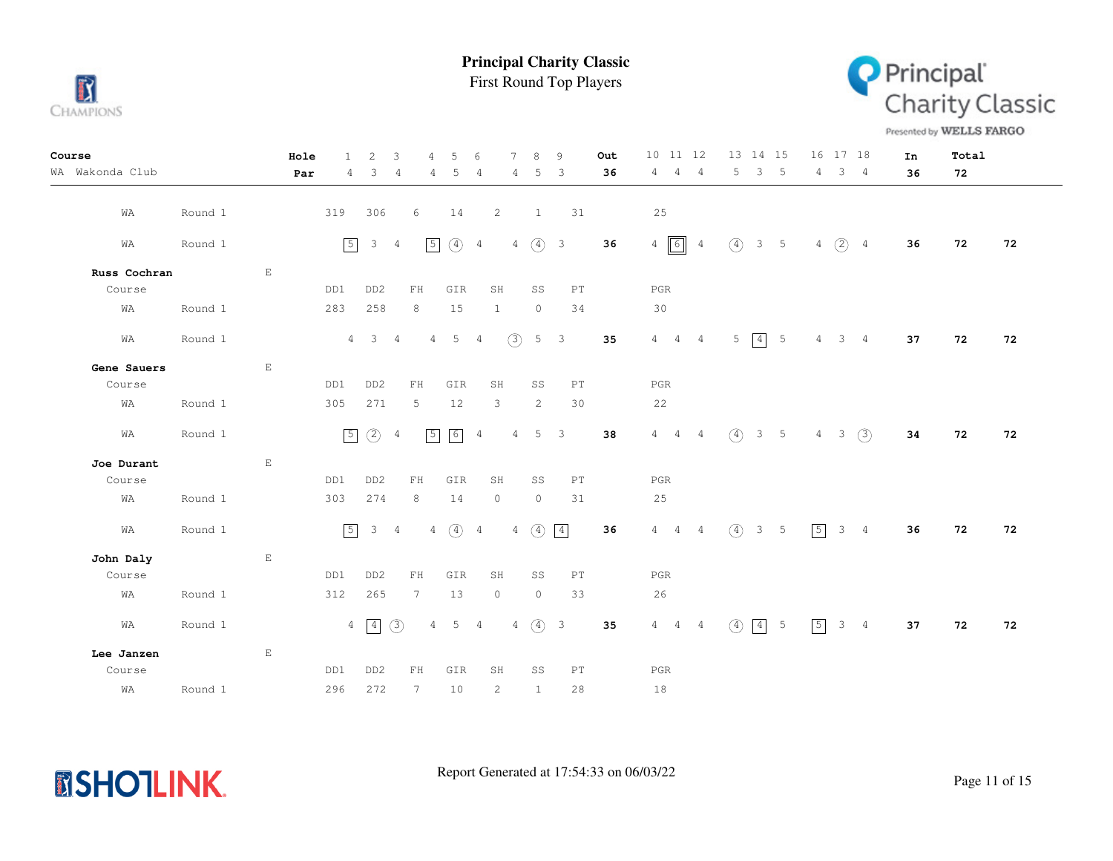

First Round Top Players



Presented by WELLS FARGO

| Course          |         | Hole                        | $\mathbf{1}$ | 2               | 3              | 4               | 5                     | 6              | 7              | 8                         | 9              | Out | 10 11 12                      | 13 14 15                       | 16 17 18                              | In | Total |    |
|-----------------|---------|-----------------------------|--------------|-----------------|----------------|-----------------|-----------------------|----------------|----------------|---------------------------|----------------|-----|-------------------------------|--------------------------------|---------------------------------------|----|-------|----|
| WA Wakonda Club |         | Par                         | 4            | 3               | $\overline{4}$ | 4               | 5                     | 4              | 4              | 5                         | $\overline{3}$ | 36  | $4 -$<br>4<br>4               | 5<br>3 <sub>5</sub>            | 3 <sub>4</sub><br>4                   | 36 | 72    |    |
| WA              | Round 1 |                             | 319          | 306             |                | 6               | 14                    |                | $\overline{2}$ | $\mathbf{1}$              | 31             |     | 25                            |                                |                                       |    |       |    |
| WA              | Round 1 |                             | $\sqrt{5}$   | $\mathcal{E}$   | $\overline{4}$ | $\sqrt{5}$      | $\circled{4}$         | $\overline{4}$ |                | $4\quad(4)$ 3             |                | 36  | $4\sqrt{6}$<br>$\overline{4}$ | $\circled{4}$<br>$3\quad 5$    | $4\quad)$ $\frac{1}{2}$ $\frac{1}{4}$ | 36 | 72    | 72 |
| Russ Cochran    |         | $\mathop{}\mathbb{E}$       |              |                 |                |                 |                       |                |                |                           |                |     |                               |                                |                                       |    |       |    |
| Course          |         |                             | DD1          | DD <sub>2</sub> |                | FH              | GIR                   |                | SH             | SS                        | PT             |     | PGR                           |                                |                                       |    |       |    |
| WA              | Round 1 |                             | 283          | 258             |                | $8\,$           | 15                    |                | $\mathbf{1}$   | $\circledcirc$            | 34             |     | 30                            |                                |                                       |    |       |    |
| WA              | Round 1 |                             |              | $4 \quad 3$     | $\overline{4}$ | $4 -$           | $5\phantom{.0}$       | $\overline{4}$ | $\circled{3}$  |                           | $5 \quad 3$    | 35  | $4\quad 4\quad 4$             | $5 \mid 4 \mid 5$              | $\overline{4}$<br>$3 \quad 4$         | 37 | 72    | 72 |
| Gene Sauers     |         | $\mathop{}\mathbb{E}$       |              |                 |                |                 |                       |                |                |                           |                |     |                               |                                |                                       |    |       |    |
| Course          |         |                             | DD1          | DD <sub>2</sub> |                | ${\rm FH}$      | GIR                   |                | SH             | SS                        | PT             |     | PGR                           |                                |                                       |    |       |    |
| WA              | Round 1 |                             | 305          | 271             |                | 5               | 12                    |                | 3              | $\overline{c}$            | 30             |     | 22                            |                                |                                       |    |       |    |
| WA              | Round 1 |                             | $\boxed{5}$  | (2)             | $\overline{4}$ | $\sqrt{5}$      | 6                     | $\overline{4}$ | 4              |                           | 5 <sup>3</sup> | 38  | $4\quad 4$<br>$\overline{4}$  | $\circ$<br>$3\quad 5$          | $3 \quad (3)$<br>4                    | 34 | 72    | 72 |
| Joe Durant      |         | $\mathop{}\!\textnormal{E}$ |              |                 |                |                 |                       |                |                |                           |                |     |                               |                                |                                       |    |       |    |
| Course          |         |                             | DD1          | DD <sub>2</sub> |                | ${\rm FH}$      | GIR                   |                | SH             | SS                        | PT             |     | $_{\rm PGR}$                  |                                |                                       |    |       |    |
| WA              | Round 1 |                             | 303          | 274             |                | 8               | 14                    |                | $\circ$        | $\circ$                   | 31             |     | 25                            |                                |                                       |    |       |    |
| WA              | Round 1 |                             | $\sqrt{5}$   | $\mathcal{S}$   | $\overline{4}$ |                 | $4 \quad (4) \quad 4$ |                |                | 4 $\bigoplus$ $\boxed{4}$ |                | 36  | $4\quad 4\quad 4$             | $\circ$<br>$3 \quad 5$         | $\boxed{5}$<br>$3 \quad 4$            | 36 | 72    | 72 |
| John Daly       |         | $\mathop{}\mathbb{E}$       |              |                 |                |                 |                       |                |                |                           |                |     |                               |                                |                                       |    |       |    |
| Course          |         |                             | DD1          | DD <sub>2</sub> |                | ${\rm FH}$      | GIR                   |                | SH             | SS                        | PT             |     | PGR                           |                                |                                       |    |       |    |
| WA              | Round 1 |                             | 312          | 265             |                | $7\phantom{.0}$ | 13                    |                | $\circ$        | $\circ$                   | 33             |     | 26                            |                                |                                       |    |       |    |
| WA              | Round 1 |                             |              | $4 \sqrt{4}$    | (3)            | $\overline{4}$  | 5                     | $\overline{4}$ |                | $4\quad\overline{4}$ 3    |                | 35  | $4\qquad 4\qquad 4$           | $\left(4\right)$<br>$-5$<br> 4 | $\sqrt{5}$<br>$3 \quad 4$             | 37 | 72    | 72 |
| Lee Janzen      |         | $\mathbf E$                 |              |                 |                |                 |                       |                |                |                           |                |     |                               |                                |                                       |    |       |    |
| Course          |         |                             | DD1          | DD <sub>2</sub> |                | FH              | GIR                   |                | SH             | SS                        | PT             |     | PGR                           |                                |                                       |    |       |    |
| WA              | Round 1 |                             | 296          | 272             |                | $7\phantom{.0}$ | 10                    |                | 2              | $\mathbf{1}$              | 28             |     | 18                            |                                |                                       |    |       |    |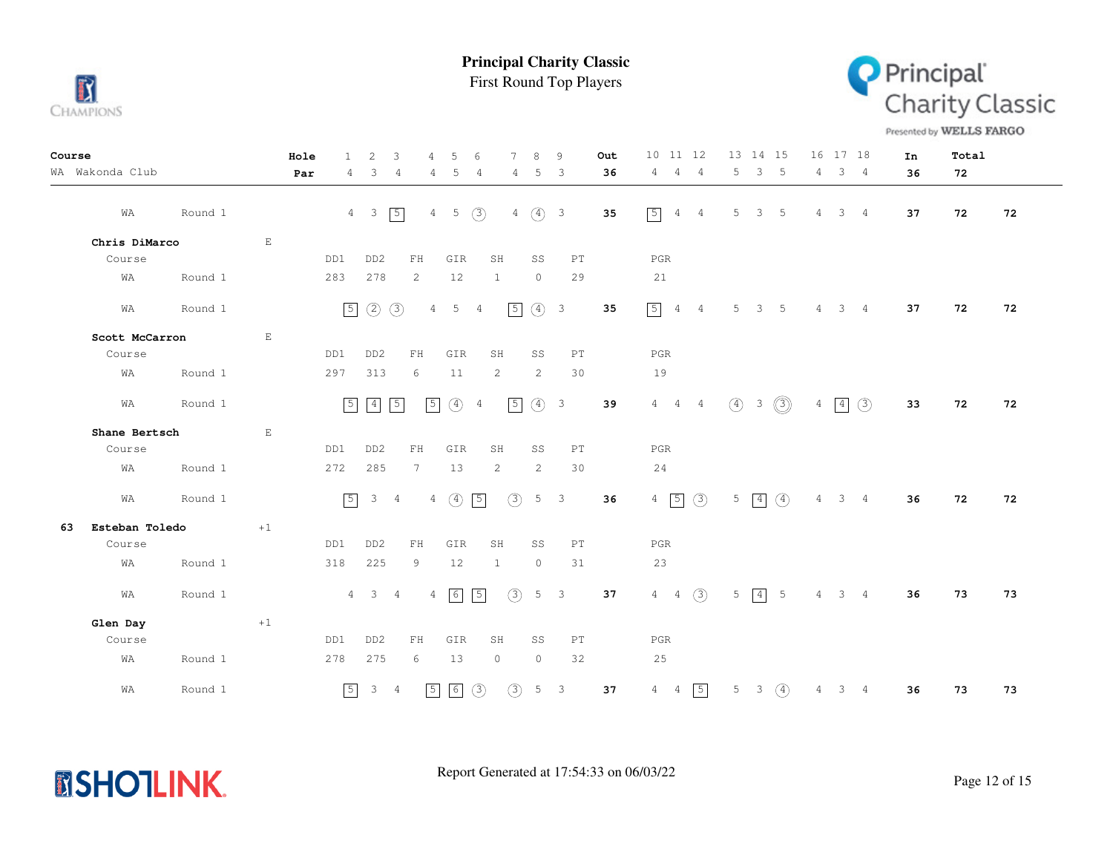

**MSHOTLINK.** 

**Principal Charity Classic**

First Round Top Players



Presented by WELLS FARGO

| Course |                 |         |                       | Hole | 1.          | $\overline{2}$      | 3              | 4               | 5               | 6              | 7             | 8             | 9                        | Out | 10 11 12                          | 13 14 15                                            | 16 17 18                      | In | Total |    |
|--------|-----------------|---------|-----------------------|------|-------------|---------------------|----------------|-----------------|-----------------|----------------|---------------|---------------|--------------------------|-----|-----------------------------------|-----------------------------------------------------|-------------------------------|----|-------|----|
|        | WA Wakonda Club |         |                       | Par  | 4           | 3                   | $\overline{4}$ | 4               | 5               | 4              | 4             | 5             | 3                        | 36  | $\overline{4}$<br>4<br>4          | 3 <sub>5</sub><br>5                                 | 4<br>3 <sub>4</sub>           | 36 | 72    |    |
|        | WA              | Round 1 |                       |      |             | $4\quad 3$          | $\sqrt{5}$     | $4 -$           | $5\phantom{.0}$ | (3)            | 4             | $\circled{4}$ | $\overline{\phantom{a}}$ | 35  | $\sqrt{5}$<br>4<br>$\overline{4}$ | -5<br>5<br>3                                        | $3 -$<br>4<br>4               | 37 | 72    | 72 |
|        | Chris DiMarco   |         | $\mathbf{E}$          |      |             |                     |                |                 |                 |                |               |               |                          |     |                                   |                                                     |                               |    |       |    |
|        | Course          |         |                       |      | DD1         | DD <sub>2</sub>     |                | FH              | GIR             |                | SH            | SS            | PT                       |     | PGR                               |                                                     |                               |    |       |    |
|        | WA              | Round 1 |                       |      | 283         | 278                 |                | 2               | 12              |                | $\mathbf{1}$  | $\circ$       | 29                       |     | 21                                |                                                     |                               |    |       |    |
|        | WA              | Round 1 |                       |      | $\boxed{5}$ | $\circled{2}$       | $\circled{3}$  | $\overline{4}$  | 5               | $\overline{4}$ | $\sqrt{5}$    | (4) 3         |                          | 35  | $\boxed{5}$<br>4 4                | 5<br>3 <sub>5</sub>                                 | $\overline{4}$<br>$3 \quad 4$ | 37 | 72    | 72 |
|        | Scott McCarron  |         | $\mathop{}\mathbb{E}$ |      |             |                     |                |                 |                 |                |               |               |                          |     |                                   |                                                     |                               |    |       |    |
|        | Course          |         |                       |      | DD1         | DD <sub>2</sub>     |                | FH              | GIR             |                | SH            | SS            | PT                       |     | PGR                               |                                                     |                               |    |       |    |
|        | WA              | Round 1 |                       |      | 297         | 313                 |                | 6               | 11              |                | 2             | 2             | 30                       |     | 19                                |                                                     |                               |    |       |    |
|        | WA              | Round 1 |                       |      | $\boxed{5}$ | $\boxed{4}$         | $\boxed{5}$    | $\sqrt{5}$      | $(4)$ 4         |                | $\boxed{5}$   | $\circ$       | $\overline{\mathbf{3}}$  | 39  | $4 \qquad 4 \qquad 4$             | $\circled{3}$<br>$\circ$<br>$\overline{\mathbf{3}}$ | $\boxed{4}$ $\boxed{3}$<br>4  | 33 | 72    | 72 |
|        | Shane Bertsch   |         | $\mathbf E$           |      |             |                     |                |                 |                 |                |               |               |                          |     |                                   |                                                     |                               |    |       |    |
|        | Course          |         |                       |      | DD1         | DD <sub>2</sub>     |                | FH              | GIR             |                | SH            | SS            | PT                       |     | PGR                               |                                                     |                               |    |       |    |
|        | WA              | Round 1 |                       |      | 272         | 285                 |                | $7\overline{ }$ | 13              |                | $\mathbf{2}$  | 2             | 30                       |     | 24                                |                                                     |                               |    |       |    |
|        | WA              | Round 1 |                       |      | $\sqrt{5}$  |                     | $3 \quad 4$    |                 | $4\quad)$       | $\boxed{5}$    | $\circled{3}$ |               | $5 \quad 3$              | 36  | $4\overline{5}$ $\overline{3}$    | $\circled{4}$<br>$5 \mid 4$                         | $4 -$<br>$3 \quad 4$          | 36 | 72    | 72 |
| 63     | Esteban Toledo  |         | $+1$                  |      |             |                     |                |                 |                 |                |               |               |                          |     |                                   |                                                     |                               |    |       |    |
|        | Course          |         |                       |      | DD1         | DD <sub>2</sub>     |                | ${\rm FH}$      | GIR             |                | SH            | SS            | PT                       |     | PGR                               |                                                     |                               |    |       |    |
|        | WA              | Round 1 |                       |      | 318         | 225                 |                | 9               | 12              |                | $\mathbf{1}$  | $\circ$       | 31                       |     | 23                                |                                                     |                               |    |       |    |
|        | WA              | Round 1 |                       |      |             | $4 \quad 3 \quad 4$ |                |                 | $4\sqrt{6}$     | $\sqrt{5}$     | (3)           |               | $5 \quad 3$              | 37  | $4 \t 4 \t (3)$                   | $\boxed{4}$ 5<br>5                                  | $4 \quad 3 \quad 4$           | 36 | 73    | 73 |
|        | Glen Day        |         | $+1$                  |      |             |                     |                |                 |                 |                |               |               |                          |     |                                   |                                                     |                               |    |       |    |
|        | Course          |         |                       |      | DD1         | DD <sub>2</sub>     |                | ${\rm FH}$      | GIR             |                | SH            | SS            | PT                       |     | PGR                               |                                                     |                               |    |       |    |
|        | WA              | Round 1 |                       |      | 278         | 275                 |                | 6               | 13              |                | $\circ$       | $\circ$       | 32                       |     | 25                                |                                                     |                               |    |       |    |
|        | WA              | Round 1 |                       |      | $\sqrt{5}$  |                     | $3 \quad 4$    | $\sqrt{5}$      | $\boxed{6}$     | (3)            | $\circled{3}$ |               | $5 \quad 3$              | 37  | $\boxed{5}$<br>$4\quad 4$         | $5 \t3 \t(4)$                                       | 4<br>$3 \quad 4$              | 36 | 73    | 73 |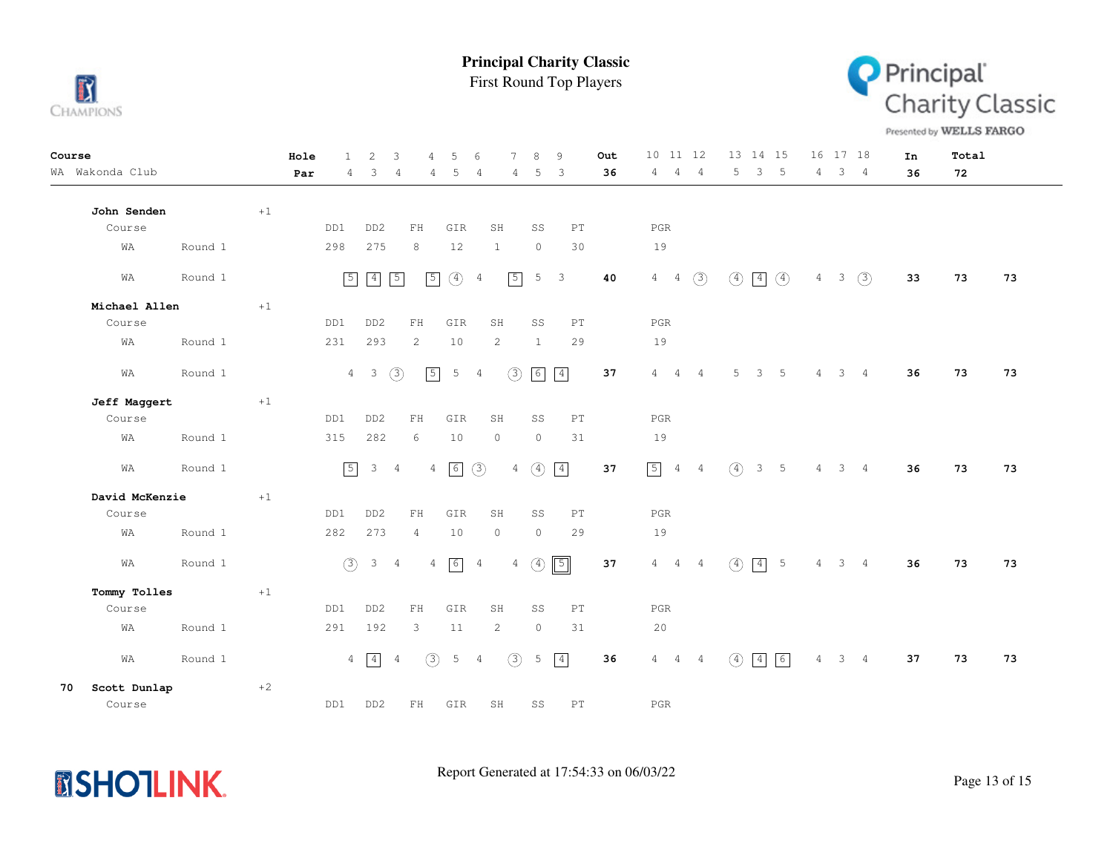

First Round Top Players



Presented by WELLS FARGO

| Course       |                 |         |      | Hole | $\mathbf{1}$   | $\mathbf{2}$            | $\mathbf{3}$   | 4              | 5              | 6              | 7              | 8             | 9              | Out | 10 11 12                          |                |                  | 13 14 15                         |                | 16 17 18 |                | In | Total |    |
|--------------|-----------------|---------|------|------|----------------|-------------------------|----------------|----------------|----------------|----------------|----------------|---------------|----------------|-----|-----------------------------------|----------------|------------------|----------------------------------|----------------|----------|----------------|----|-------|----|
|              | WA Wakonda Club |         |      | Par  | 4              | 3                       | 4              | 4              | 5              | 4              | 4              | 5             | -3             | 36  | 4<br>$\overline{4}$               | 4              | 5                | 3 <sub>5</sub>                   | 4              |          | 3 <sub>4</sub> | 36 | 72    |    |
|              |                 |         |      |      |                |                         |                |                |                |                |                |               |                |     |                                   |                |                  |                                  |                |          |                |    |       |    |
|              | John Senden     |         | $+1$ |      |                |                         |                |                |                |                |                |               |                |     |                                   |                |                  |                                  |                |          |                |    |       |    |
|              | Course          |         |      |      | DD1            | DD <sub>2</sub>         |                | ${\rm FH}$     | GIR            | SH             |                | SS            | PT             |     | $_{\rm PGR}$                      |                |                  |                                  |                |          |                |    |       |    |
|              | WΑ              | Round 1 |      |      | 298            | 275                     |                | 8              | 12             | $\mathbf{1}$   |                | $\circ$       | 30             |     | 19                                |                |                  |                                  |                |          |                |    |       |    |
|              | WA              | Round 1 |      |      | $\boxed{5}$    | $\boxed{4}$             | $\boxed{5}$    | $\sqrt{5}$     | $\circled{4}$  | $\overline{4}$ | $\sqrt{5}$     | 5             | $\overline{3}$ | 40  | $4\quad 4$                        | (3)            | $\circled{4}$    | $\vert 4 \vert$<br>$\circled{4}$ | 4              | $3 -$    | (3)            | 33 | 73    | 73 |
|              | Michael Allen   |         | $+1$ |      |                |                         |                |                |                |                |                |               |                |     |                                   |                |                  |                                  |                |          |                |    |       |    |
|              | Course          |         |      |      | DD1            | DD <sub>2</sub>         |                | FH             | GIR            | SH             |                | SS            | PT             |     | PGR                               |                |                  |                                  |                |          |                |    |       |    |
|              | WA              | Round 1 |      |      | 231            | 293                     |                | 2              | 10             | 2              |                | $\mathbf{1}$  | 29             |     | 19                                |                |                  |                                  |                |          |                |    |       |    |
|              | WA              | Round 1 |      |      | $\overline{4}$ | $\overline{\mathbf{3}}$ | (3)            | $\sqrt{5}$     | $\overline{5}$ | $\overline{4}$ | $\circled{3}$  | 6             | $\boxed{4}$    | 37  | $4\overline{ }$<br>$\overline{4}$ | $\overline{4}$ | 5                | 3 <sup>7</sup><br>-5             | $\overline{4}$ |          | 3 <sub>4</sub> | 36 | 73    | 73 |
|              | Jeff Maggert    |         | $+1$ |      |                |                         |                |                |                |                |                |               |                |     |                                   |                |                  |                                  |                |          |                |    |       |    |
|              | Course          |         |      |      | DD1            | DD <sub>2</sub>         |                | FH             | GIR            | SH             |                | SS            | PT             |     | <b>PGR</b>                        |                |                  |                                  |                |          |                |    |       |    |
|              | WA              | Round 1 |      |      | 315            | 282                     |                | 6              | 10             | $\circ$        |                | $\circ$       | 31             |     | 19                                |                |                  |                                  |                |          |                |    |       |    |
|              | WA              | Round 1 |      |      | $\boxed{5}$    | 3                       | $\overline{4}$ | $\overline{4}$ | 6              | (3)            | $\overline{4}$ | $\circled{4}$ | $\boxed{4}$    | 37  | $\boxed{5}$ 4 4                   |                | $\circled{4}$    | 3 <sub>5</sub>                   | 4              |          | 3 <sub>4</sub> | 36 | 73    | 73 |
|              | David McKenzie  |         | $+1$ |      |                |                         |                |                |                |                |                |               |                |     |                                   |                |                  |                                  |                |          |                |    |       |    |
|              | Course          |         |      |      | DD1            | DD <sub>2</sub>         |                | ${\rm FH}$     | GIR            | SH             |                | SS            | PT             |     | $_{\rm PGR}$                      |                |                  |                                  |                |          |                |    |       |    |
|              | WA              | Round 1 |      |      | 282            | 273                     |                | $\overline{4}$ | 10             | $\circ$        |                | $\circ$       | 29             |     | 19                                |                |                  |                                  |                |          |                |    |       |    |
|              | WA              | Round 1 |      |      | (3)            | $\mathcal{E}$           | $\overline{4}$ | $\overline{4}$ | 6              | $\overline{4}$ | $\overline{4}$ | $\circled{4}$ | $\boxed{5}$    | 37  | $4\overline{ }$<br>$\overline{4}$ | $\overline{4}$ | $\left(4\right)$ | $\vert 4 \vert$<br>5             | 4              |          | 3 <sub>4</sub> | 36 | 73    | 73 |
| Tommy Tolles |                 | $+1$    |      |      |                |                         |                |                |                |                |                |               |                |     |                                   |                |                  |                                  |                |          |                |    |       |    |
|              | Course          |         |      |      | DD1            | DD <sub>2</sub>         |                | FH             | GIR            | SH             |                | SS            | PT             |     | <b>PGR</b>                        |                |                  |                                  |                |          |                |    |       |    |
|              | WA              | Round 1 |      |      | 291            | 192                     |                | 3              | $11\,$         |                | 2              | $\circ$       | 31             |     | 20                                |                |                  |                                  |                |          |                |    |       |    |
|              | WA              | Round 1 |      |      | $\overline{4}$ | $\sqrt{4}$              | 4              | (3)            | 5              | $\overline{4}$ | $\circled{3}$  | 5             | $\boxed{4}$    | 36  | $4\phantom{0}$                    | $4\quad 4$     | (4)              | $\boxed{4}$<br>6                 | 4              |          | $3 \quad 4$    | 37 | 73    | 73 |
| 70           | Scott Dunlap    |         | $+2$ |      |                |                         |                |                |                |                |                |               |                |     |                                   |                |                  |                                  |                |          |                |    |       |    |
|              | Course          |         |      |      | DD1            | DD <sub>2</sub>         |                | FH             | GIR            | SH             |                | SS            | PT             |     | <b>PGR</b>                        |                |                  |                                  |                |          |                |    |       |    |

**MSHOTLINK.**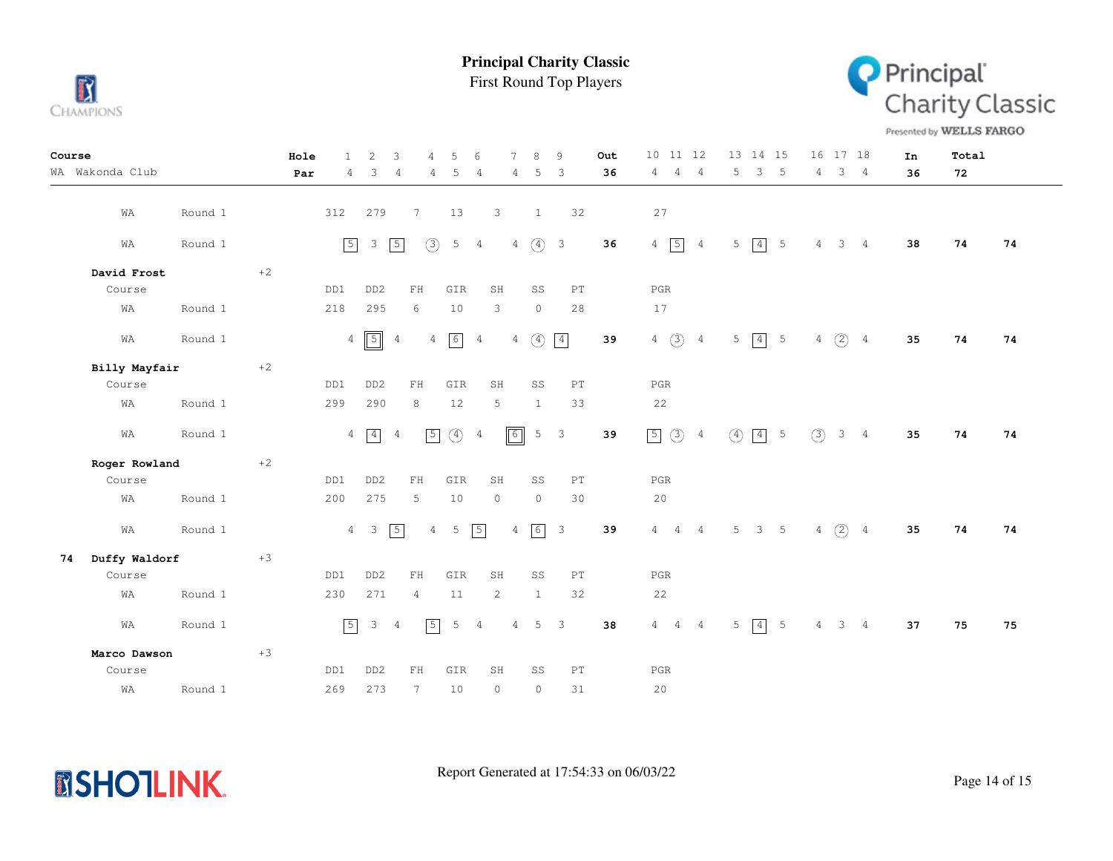

First Round Top Players **Principal Charity Classic**



Presented by WELLS FARGO

| Course        |                 |         |             | Hole | 1              | 2                       | 3              | 4              | 5               | 6              | $\tau$          | 8             | 9                          | Out | 10 11 12                      |                |         | 13 14 15    |                 |                | 16 17 18            |                 | In | Total |    |
|---------------|-----------------|---------|-------------|------|----------------|-------------------------|----------------|----------------|-----------------|----------------|-----------------|---------------|----------------------------|-----|-------------------------------|----------------|---------|-------------|-----------------|----------------|---------------------|-----------------|----|-------|----|
|               | WA Wakonda Club |         |             | Par  | 4              | 3                       | $\overline{4}$ | 4              | 5               | 4              | 4               | 5             | 3                          | 36  | $\overline{4}$<br>$4^{\circ}$ | $\frac{4}{3}$  | 5       | 3           | $-5$            | 4              |                     | 3 <sub>4</sub>  | 36 | 72    |    |
|               |                 |         |             |      |                |                         |                |                |                 |                |                 |               |                            |     |                               |                |         |             |                 |                |                     |                 |    |       |    |
|               | WA              | Round 1 |             |      | 312            | 279                     |                | 7              | 13              |                | 3               | <sup>1</sup>  | 32                         |     | 27                            |                |         |             |                 |                |                     |                 |    |       |    |
|               | WA              | Round 1 |             |      | $\sqrt{5}$     | $\mathcal{E}$           | $\sqrt{5}$     | (3)            | 5               | 4              | $4\overline{ }$ | $\circled{4}$ | $\overline{\mathbf{3}}$    | 36  | $4\sqrt{5}$                   | $\overline{4}$ | 5       | $\boxed{4}$ | $5\phantom{.0}$ | $\overline{4}$ |                     | $3 \quad 4$     | 38 | 74    | 74 |
|               |                 |         |             |      |                |                         |                |                |                 |                |                 |               |                            |     |                               |                |         |             |                 |                |                     |                 |    |       |    |
|               | David Frost     |         | $^{\rm +2}$ |      |                |                         |                |                |                 |                |                 |               |                            |     |                               |                |         |             |                 |                |                     |                 |    |       |    |
|               | Course          |         |             |      | DD1            | DD <sub>2</sub>         |                | ${\rm FH}$     | GIR             |                | SH              | SS            | PT                         |     | $_{\rm PGR}$                  |                |         |             |                 |                |                     |                 |    |       |    |
|               | WA              | Round 1 |             |      | 218            | 295                     |                | 6              | 10              |                | 3               | $\circ$       | 28                         |     | 17                            |                |         |             |                 |                |                     |                 |    |       |    |
|               | WA              | Round 1 |             |      |                | $4\boxed{5}$            | $\overline{4}$ | $\overline{4}$ | $6\overline{6}$ | 4              | $4\overline{ }$ | $\circled{4}$ | $\boxed{4}$                | 39  | $4\quad)$                     | $\overline{4}$ | 5       | $\boxed{4}$ | $5\phantom{.0}$ |                | $4\quad)$           | $4\overline{4}$ | 35 | 74    | 74 |
| Billy Mayfair |                 |         | $^{\rm +2}$ |      |                |                         |                |                |                 |                |                 |               |                            |     |                               |                |         |             |                 |                |                     |                 |    |       |    |
|               | Course          |         |             |      | DD1            | DD <sub>2</sub>         |                | FH             | GIR             |                | SH              | SS            | $\mathop{\rm PT}\nolimits$ |     | $_{\rm PGR}$                  |                |         |             |                 |                |                     |                 |    |       |    |
|               | WA              | Round 1 |             |      | 299            | 290                     |                | 8              | $12$            |                | 5               | $\mathbf{1}$  | 33                         |     | 22                            |                |         |             |                 |                |                     |                 |    |       |    |
|               | WA              | Round 1 |             |      | $\overline{4}$ | $\boxed{4}$             | $\overline{4}$ | $\sqrt{5}$     | $\circled{4}$   | $\overline{4}$ | $\boxed{6}$     |               | 5 <sup>3</sup>             | 39  | 50                            | $\overline{4}$ | $\circ$ | $\boxed{4}$ | $-5$            | (3)            |                     | 3 <sub>4</sub>  | 35 | 74    | 74 |
|               | Roger Rowland   |         | $+2$        |      |                |                         |                |                |                 |                |                 |               |                            |     |                               |                |         |             |                 |                |                     |                 |    |       |    |
|               | Course          |         |             |      | DD1            | DD <sub>2</sub>         |                | FH             | GIR             |                | SH              | SS            | $\mathop{\rm PT}\nolimits$ |     | $_{\rm PGR}$                  |                |         |             |                 |                |                     |                 |    |       |    |
|               | WA              | Round 1 |             |      | 200            | 275                     |                | 5              | 10              |                | $\circ$         | $\circ$       | 30                         |     | 20                            |                |         |             |                 |                |                     |                 |    |       |    |
|               | WA              | Round 1 |             |      |                | $4 \quad 3$             | $\sqrt{5}$     | $\overline{4}$ | 5               | $\sqrt{5}$     | $\overline{4}$  | 6             | $\overline{\mathbf{3}}$    | 39  | $4\quad 4$                    | $\overline{4}$ | 5       |             | $3 \quad 5$     | $\overline{4}$ | (2)                 | $\overline{4}$  | 35 | 74    | 74 |
| 74            | Duffy Waldorf   |         | $+3$        |      |                |                         |                |                |                 |                |                 |               |                            |     |                               |                |         |             |                 |                |                     |                 |    |       |    |
|               | Course          |         |             |      | DD1            | DD <sub>2</sub>         |                | ${\rm FH}$     | GIR             |                | SH              | SS            | $\mathop{\rm PT}\nolimits$ |     | $_{\rm PGR}$                  |                |         |             |                 |                |                     |                 |    |       |    |
|               | WA              | Round 1 |             |      | 230            | 271                     |                | $\overline{4}$ | 11              |                | 2               | 1             | 32                         |     | 22                            |                |         |             |                 |                |                     |                 |    |       |    |
|               | WA              | Round 1 |             |      | $\boxed{5}$    | $\overline{\mathbf{3}}$ | $\overline{4}$ | $\sqrt{5}$     | 5               | 4              | $\overline{4}$  | 5             | $\overline{\mathbf{3}}$    | 38  | $4\quad 4$                    | $\overline{4}$ | 5       | $\boxed{4}$ | $5\phantom{.0}$ |                | $4 \quad 3 \quad 4$ |                 | 37 | 75    | 75 |
|               | Marco Dawson    |         | $+3$        |      |                |                         |                |                |                 |                |                 |               |                            |     |                               |                |         |             |                 |                |                     |                 |    |       |    |
|               | Course          |         |             |      | DD1            | DD <sub>2</sub>         |                | FH             | GIR             |                | SH              | SS            | $\mathop{\rm PT}\nolimits$ |     | $_{\rm PGR}$                  |                |         |             |                 |                |                     |                 |    |       |    |
|               | WA              | Round 1 |             |      | 269            | 273                     |                | 7              | 10              |                | $\circ$         | $\circ$       | 31                         |     | 20                            |                |         |             |                 |                |                     |                 |    |       |    |

**MSHOTLINK.**